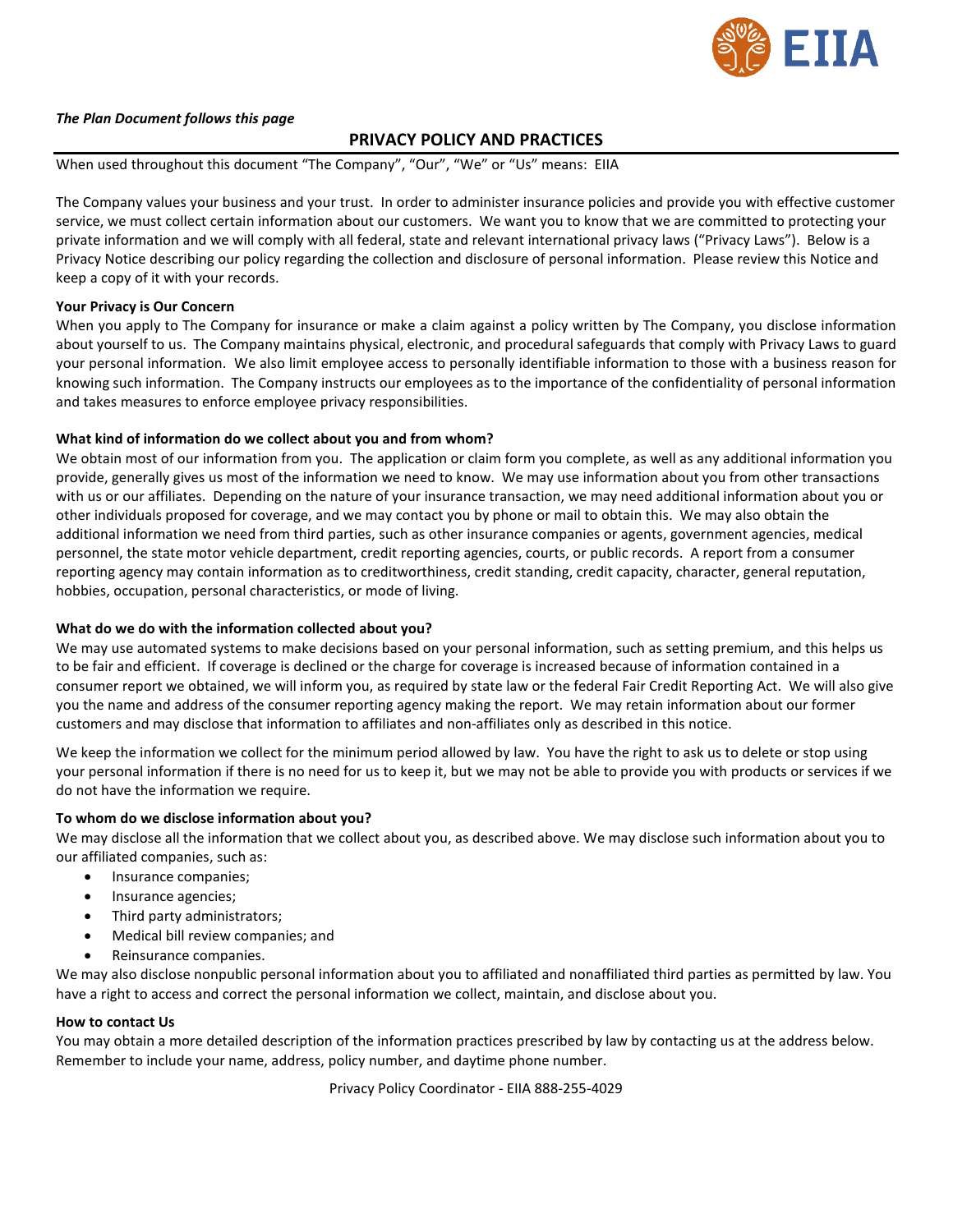

#### *The Plan Document follows this page*

#### **PRIVACY POLICY AND PRACTICES**

When used throughout this document "The Company", "Our", "We" or "Us" means: EIIA

The Company values your business and your trust. In order to administer insurance policies and provide you with effective customer service, we must collect certain information about our customers. We want you to know that we are committed to protecting your private information and we will comply with all federal, state and relevant international privacy laws ("Privacy Laws"). Below is a Privacy Notice describing our policy regarding the collection and disclosure of personal information. Please review this Notice and keep a copy of it with your records.

#### **Your Privacy is Our Concern**

When you apply to The Company for insurance or make a claim against a policy written by The Company, you disclose information about yourself to us. The Company maintains physical, electronic, and procedural safeguards that comply with Privacy Laws to guard your personal information. We also limit employee access to personally identifiable information to those with a business reason for knowing such information. The Company instructs our employees as to the importance of the confidentiality of personal information and takes measures to enforce employee privacy responsibilities.

#### **What kind of information do we collect about you and from whom?**

We obtain most of our information from you. The application or claim form you complete, as well as any additional information you provide, generally gives us most of the information we need to know. We may use information about you from other transactions with us or our affiliates. Depending on the nature of your insurance transaction, we may need additional information about you or other individuals proposed for coverage, and we may contact you by phone or mail to obtain this. We may also obtain the additional information we need from third parties, such as other insurance companies or agents, government agencies, medical personnel, the state motor vehicle department, credit reporting agencies, courts, or public records. A report from a consumer reporting agency may contain information as to creditworthiness, credit standing, credit capacity, character, general reputation, hobbies, occupation, personal characteristics, or mode of living.

#### **What do we do with the information collected about you?**

We may use automated systems to make decisions based on your personal information, such as setting premium, and this helps us to be fair and efficient. If coverage is declined or the charge for coverage is increased because of information contained in a consumer report we obtained, we will inform you, as required by state law or the federal Fair Credit Reporting Act. We will also give you the name and address of the consumer reporting agency making the report. We may retain information about our former customers and may disclose that information to affiliates and non-affiliates only as described in this notice.

We keep the information we collect for the minimum period allowed by law. You have the right to ask us to delete or stop using your personal information if there is no need for us to keep it, but we may not be able to provide you with products or services if we do not have the information we require.

#### **To whom do we disclose information about you?**

We may disclose all the information that we collect about you, as described above. We may disclose such information about you to our affiliated companies, such as:

- Insurance companies;
- Insurance agencies;
- Third party administrators;
- Medical bill review companies; and
- Reinsurance companies.

We may also disclose nonpublic personal information about you to affiliated and nonaffiliated third parties as permitted by law. You have a right to access and correct the personal information we collect, maintain, and disclose about you.

#### **How to contact Us**

You may obtain a more detailed description of the information practices prescribed by law by contacting us at the address below. Remember to include your name, address, policy number, and daytime phone number.

Privacy Policy Coordinator - EIIA 888-255-4029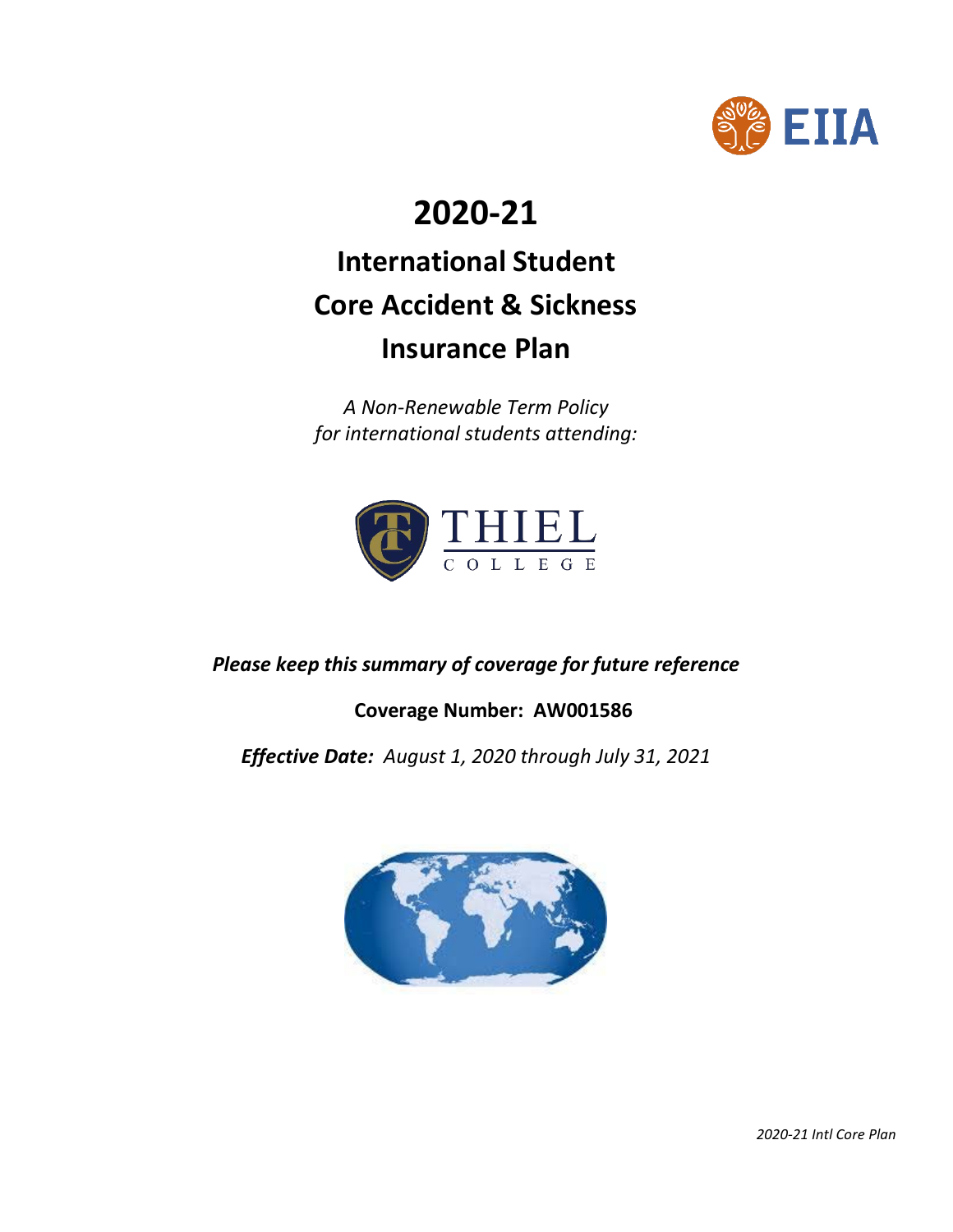

# **2020-21**

# **International Student Core Accident & Sickness Insurance Plan**

*A Non-Renewable Term Policy for international students attending:*



*Please keep this summary of coverage for future reference*

**Coverage Number: AW001586**

*Effective Date: August 1, 2020 through July 31, 2021*



 *2020-21 Intl Core Plan*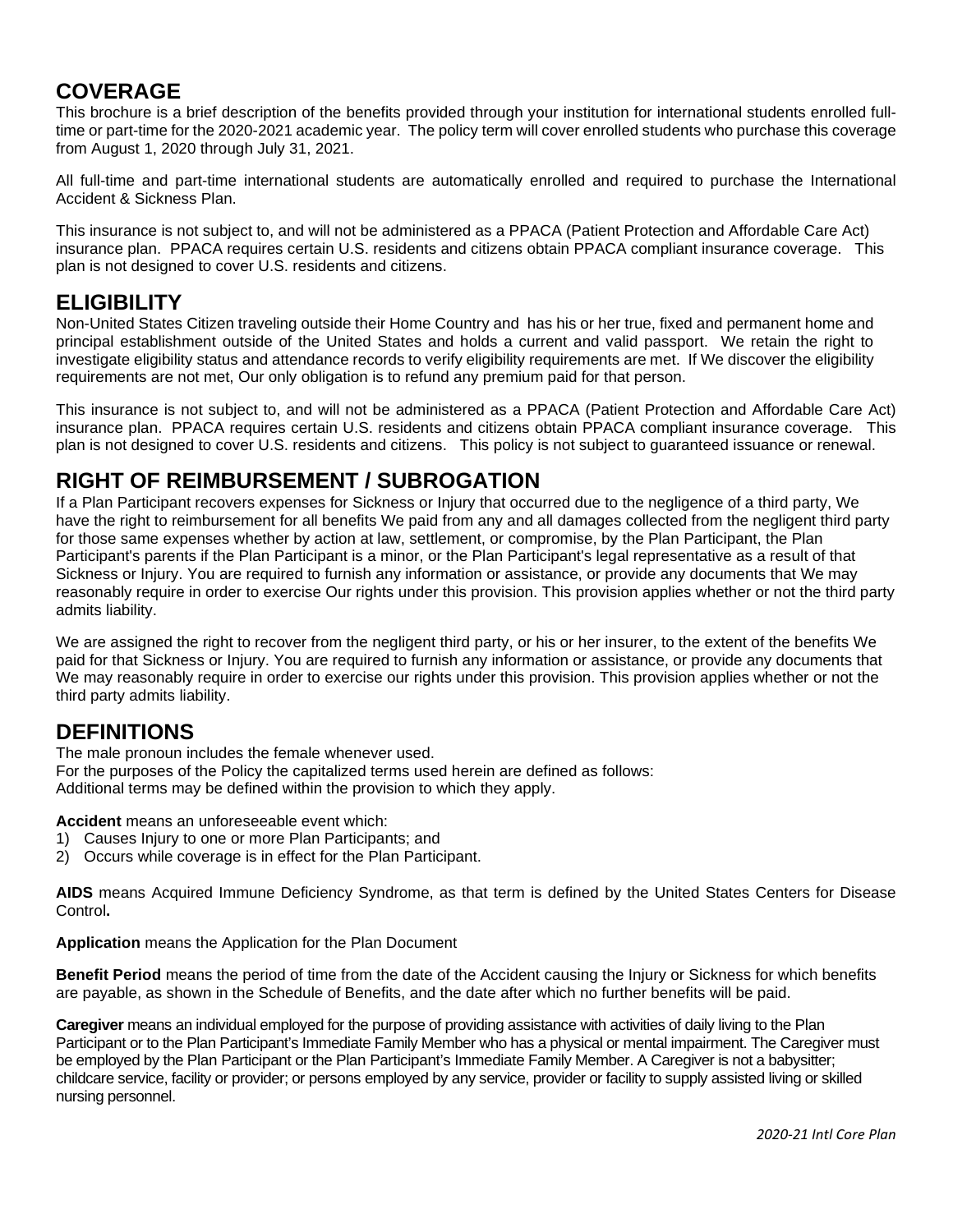# **COVERAGE**

This brochure is a brief description of the benefits provided through your institution for international students enrolled fulltime or part-time for the 2020-2021 academic year. The policy term will cover enrolled students who purchase this coverage from August 1, 2020 through July 31, 2021.

All full-time and part-time international students are automatically enrolled and required to purchase the International Accident & Sickness Plan.

This insurance is not subject to, and will not be administered as a PPACA (Patient Protection and Affordable Care Act) insurance plan. PPACA requires certain U.S. residents and citizens obtain PPACA compliant insurance coverage. This plan is not designed to cover U.S. residents and citizens.

## **ELIGIBILITY**

Non-United States Citizen traveling outside their Home Country and has his or her true, fixed and permanent home and principal establishment outside of the United States and holds a current and valid passport. We retain the right to investigate eligibility status and attendance records to verify eligibility requirements are met. If We discover the eligibility requirements are not met, Our only obligation is to refund any premium paid for that person.

This insurance is not subject to, and will not be administered as a PPACA (Patient Protection and Affordable Care Act) insurance plan. PPACA requires certain U.S. residents and citizens obtain PPACA compliant insurance coverage. This plan is not designed to cover U.S. residents and citizens. This policy is not subject to guaranteed issuance or renewal.

# **RIGHT OF REIMBURSEMENT / SUBROGATION**

If a Plan Participant recovers expenses for Sickness or Injury that occurred due to the negligence of a third party, We have the right to reimbursement for all benefits We paid from any and all damages collected from the negligent third party for those same expenses whether by action at law, settlement, or compromise, by the Plan Participant, the Plan Participant's parents if the Plan Participant is a minor, or the Plan Participant's legal representative as a result of that Sickness or Injury. You are required to furnish any information or assistance, or provide any documents that We may reasonably require in order to exercise Our rights under this provision. This provision applies whether or not the third party admits liability.

We are assigned the right to recover from the negligent third party, or his or her insurer, to the extent of the benefits We paid for that Sickness or Injury. You are required to furnish any information or assistance, or provide any documents that We may reasonably require in order to exercise our rights under this provision. This provision applies whether or not the third party admits liability.

# **DEFINITIONS**

The male pronoun includes the female whenever used.

For the purposes of the Policy the capitalized terms used herein are defined as follows: Additional terms may be defined within the provision to which they apply.

**Accident** means an unforeseeable event which:

- 1) Causes Injury to one or more Plan Participants; and
- 2) Occurs while coverage is in effect for the Plan Participant.

**AIDS** means Acquired Immune Deficiency Syndrome, as that term is defined by the United States Centers for Disease Control**.**

**Application** means the Application for the Plan Document

**Benefit Period** means the period of time from the date of the Accident causing the Injury or Sickness for which benefits are payable, as shown in the Schedule of Benefits, and the date after which no further benefits will be paid.

**Caregiver** means an individual employed for the purpose of providing assistance with activities of daily living to the Plan Participant or to the Plan Participant's Immediate Family Member who has a physical or mental impairment. The Caregiver must be employed by the Plan Participant or the Plan Participant's Immediate Family Member. A Caregiver is not a babysitter; childcare service, facility or provider; or persons employed by any service, provider or facility to supply assisted living or skilled nursing personnel.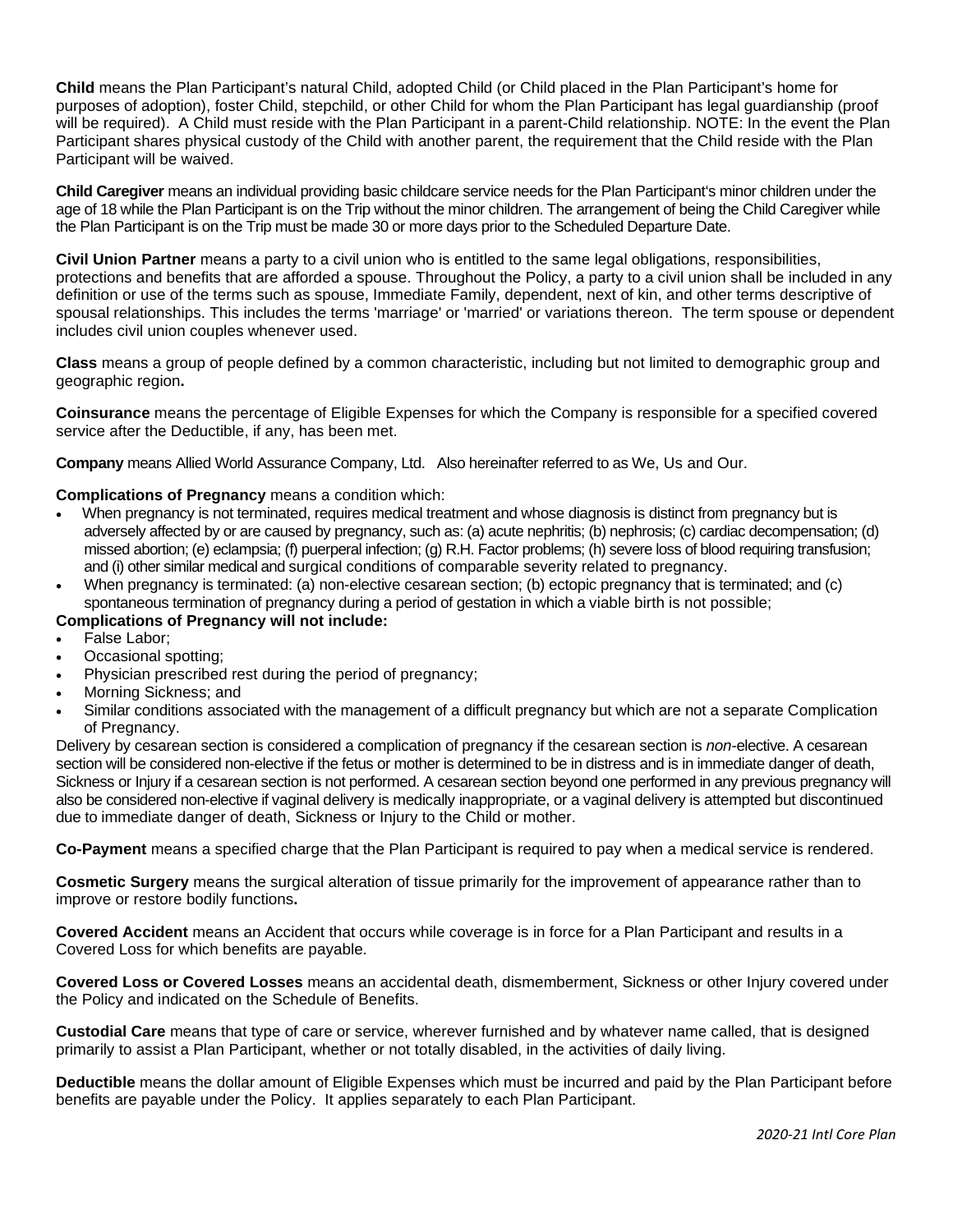**Child** means the Plan Participant's natural Child, adopted Child (or Child placed in the Plan Participant's home for purposes of adoption), foster Child, stepchild, or other Child for whom the Plan Participant has legal guardianship (proof will be required). A Child must reside with the Plan Participant in a parent-Child relationship. NOTE: In the event the Plan Participant shares physical custody of the Child with another parent, the requirement that the Child reside with the Plan Participant will be waived.

**Child Caregiver** means an individual providing basic childcare service needs for the Plan Participant's minor children under the age of 18 while the Plan Participant is on the Trip without the minor children. The arrangement of being the Child Caregiver while the Plan Participant is on the Trip must be made 30 or more days prior to the Scheduled Departure Date.

**Civil Union Partner** means a party to a civil union who is entitled to the same legal obligations, responsibilities, protections and benefits that are afforded a spouse. Throughout the Policy, a party to a civil union shall be included in any definition or use of the terms such as spouse, Immediate Family, dependent, next of kin, and other terms descriptive of spousal relationships. This includes the terms 'marriage' or 'married' or variations thereon. The term spouse or dependent includes civil union couples whenever used.

**Class** means a group of people defined by a common characteristic, including but not limited to demographic group and geographic region**.**

**Coinsurance** means the percentage of Eligible Expenses for which the Company is responsible for a specified covered service after the Deductible, if any, has been met.

**Company** means Allied World Assurance Company, Ltd. Also hereinafter referred to as We, Us and Our.

#### **Complications of Pregnancy** means a condition which:

- When pregnancy is not terminated, requires medical treatment and whose diagnosis is distinct from pregnancy but is adversely affected by or are caused by pregnancy, such as: (a) acute nephritis; (b) nephrosis; (c) cardiac decompensation; (d) missed abortion; (e) eclampsia; (f) puerperal infection; (g) R.H. Factor problems; (h) severe loss of blood requiring transfusion; and (i) other similar medical and surgical conditions of comparable severity related to pregnancy.
- When pregnancy is terminated: (a) non-elective cesarean section; (b) ectopic pregnancy that is terminated; and (c) spontaneous termination of pregnancy during a period of gestation in which a viable birth is not possible;

#### **Complications of Pregnancy will not include:**

- False Labor;
- Occasional spotting;
- Physician prescribed rest during the period of pregnancy;
- Morning Sickness; and
- Similar conditions associated with the management of a difficult pregnancy but which are not a separate Complication of Pregnancy.

Delivery by cesarean section is considered a complication of pregnancy if the cesarean section is *non-*elective. A cesarean section will be considered non-elective if the fetus or mother is determined to be in distress and is in immediate danger of death, Sickness or Injury if a cesarean section is not performed. A cesarean section beyond one performed in any previous pregnancy will also be considered non-elective if vaginal delivery is medically inappropriate, or a vaginal delivery is attempted but discontinued due to immediate danger of death, Sickness or Injury to the Child or mother.

**Co-Payment** means a specified charge that the Plan Participant is required to pay when a medical service is rendered.

**Cosmetic Surgery** means the surgical alteration of tissue primarily for the improvement of appearance rather than to improve or restore bodily functions**.**

**Covered Accident** means an Accident that occurs while coverage is in force for a Plan Participant and results in a Covered Loss for which benefits are payable.

**Covered Loss or Covered Losses** means an accidental death, dismemberment, Sickness or other Injury covered under the Policy and indicated on the Schedule of Benefits.

**Custodial Care** means that type of care or service, wherever furnished and by whatever name called, that is designed primarily to assist a Plan Participant, whether or not totally disabled, in the activities of daily living.

**Deductible** means the dollar amount of Eligible Expenses which must be incurred and paid by the Plan Participant before benefits are payable under the Policy. It applies separately to each Plan Participant.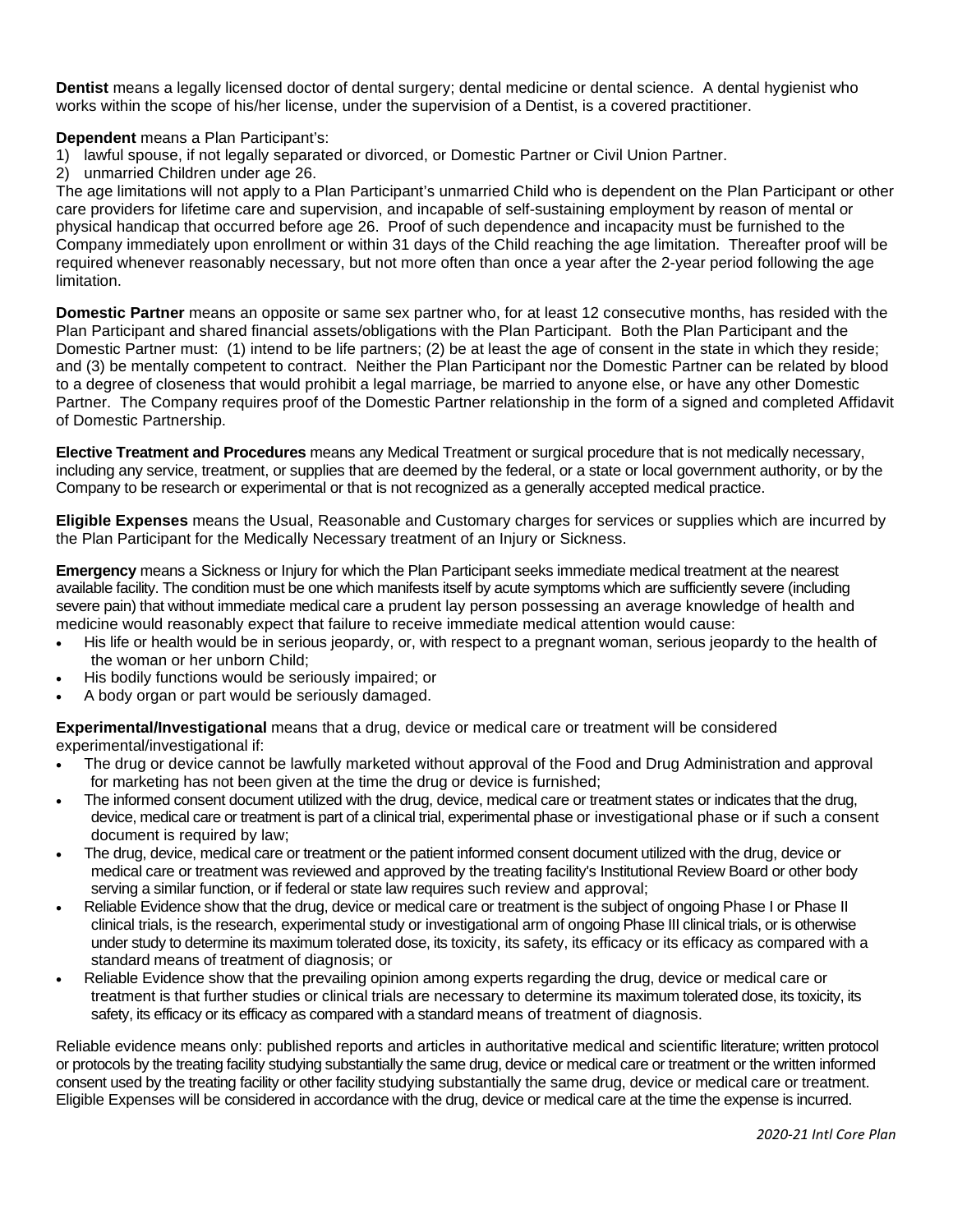**Dentist** means a legally licensed doctor of dental surgery; dental medicine or dental science. A dental hygienist who works within the scope of his/her license, under the supervision of a Dentist, is a covered practitioner.

**Dependent** means a Plan Participant's:

- 1) lawful spouse, if not legally separated or divorced, or Domestic Partner or Civil Union Partner.
- 2) unmarried Children under age 26.

The age limitations will not apply to a Plan Participant's unmarried Child who is dependent on the Plan Participant or other care providers for lifetime care and supervision, and incapable of self-sustaining employment by reason of mental or physical handicap that occurred before age 26. Proof of such dependence and incapacity must be furnished to the Company immediately upon enrollment or within 31 days of the Child reaching the age limitation. Thereafter proof will be required whenever reasonably necessary, but not more often than once a year after the 2-year period following the age limitation.

**Domestic Partner** means an opposite or same sex partner who, for at least 12 consecutive months, has resided with the Plan Participant and shared financial assets/obligations with the Plan Participant. Both the Plan Participant and the Domestic Partner must: (1) intend to be life partners; (2) be at least the age of consent in the state in which they reside; and (3) be mentally competent to contract. Neither the Plan Participant nor the Domestic Partner can be related by blood to a degree of closeness that would prohibit a legal marriage, be married to anyone else, or have any other Domestic Partner. The Company requires proof of the Domestic Partner relationship in the form of a signed and completed Affidavit of Domestic Partnership.

**Elective Treatment and Procedures** means any Medical Treatment or surgical procedure that is not medically necessary, including any service, treatment, or supplies that are deemed by the federal, or a state or local government authority, or by the Company to be research or experimental or that is not recognized as a generally accepted medical practice.

**Eligible Expenses** means the Usual, Reasonable and Customary charges for services or supplies which are incurred by the Plan Participant for the Medically Necessary treatment of an Injury or Sickness.

**Emergency** means a Sickness or Injury for which the Plan Participant seeks immediate medical treatment at the nearest available facility. The condition must be one which manifests itself by acute symptoms which are sufficiently severe (including severe pain) that without immediate medical care a prudent lay person possessing an average knowledge of health and medicine would reasonably expect that failure to receive immediate medical attention would cause:

- His life or health would be in serious jeopardy, or, with respect to a pregnant woman, serious jeopardy to the health of the woman or her unborn Child;
- His bodily functions would be seriously impaired; or
- A body organ or part would be seriously damaged.

**Experimental/Investigational** means that a drug, device or medical care or treatment will be considered experimental/investigational if:

- The drug or device cannot be lawfully marketed without approval of the Food and Drug Administration and approval for marketing has not been given at the time the drug or device is furnished;
- The informed consent document utilized with the drug, device, medical care or treatment states or indicates that the drug, device, medical care or treatment is part of a clinical trial, experimental phase or investigational phase or if such a consent document is required by law;
- The drug, device, medical care or treatment or the patient informed consent document utilized with the drug, device or medical care or treatment was reviewed and approved by the treating facility's Institutional Review Board or other body serving a similar function, or if federal or state law requires such review and approval;
- Reliable Evidence show that the drug, device or medical care or treatment is the subject of ongoing Phase I or Phase II clinical trials, is the research, experimental study or investigational arm of ongoing Phase III clinical trials, or is otherwise under study to determine its maximum tolerated dose, its toxicity, its safety, its efficacy or its efficacy as compared with a standard means of treatment of diagnosis; or
- Reliable Evidence show that the prevailing opinion among experts regarding the drug, device or medical care or treatment is that further studies or clinical trials are necessary to determine its maximum tolerated dose, its toxicity, its safety, its efficacy or its efficacy as compared with a standard means of treatment of diagnosis.

Reliable evidence means only: published reports and articles in authoritative medical and scientific literature; written protocol or protocols by the treating facility studying substantially the same drug, device or medical care or treatment or the written informed consent used by the treating facility or other facility studying substantially the same drug, device or medical care or treatment. Eligible Expenses will be considered in accordance with the drug, device or medical care at the time the expense is incurred.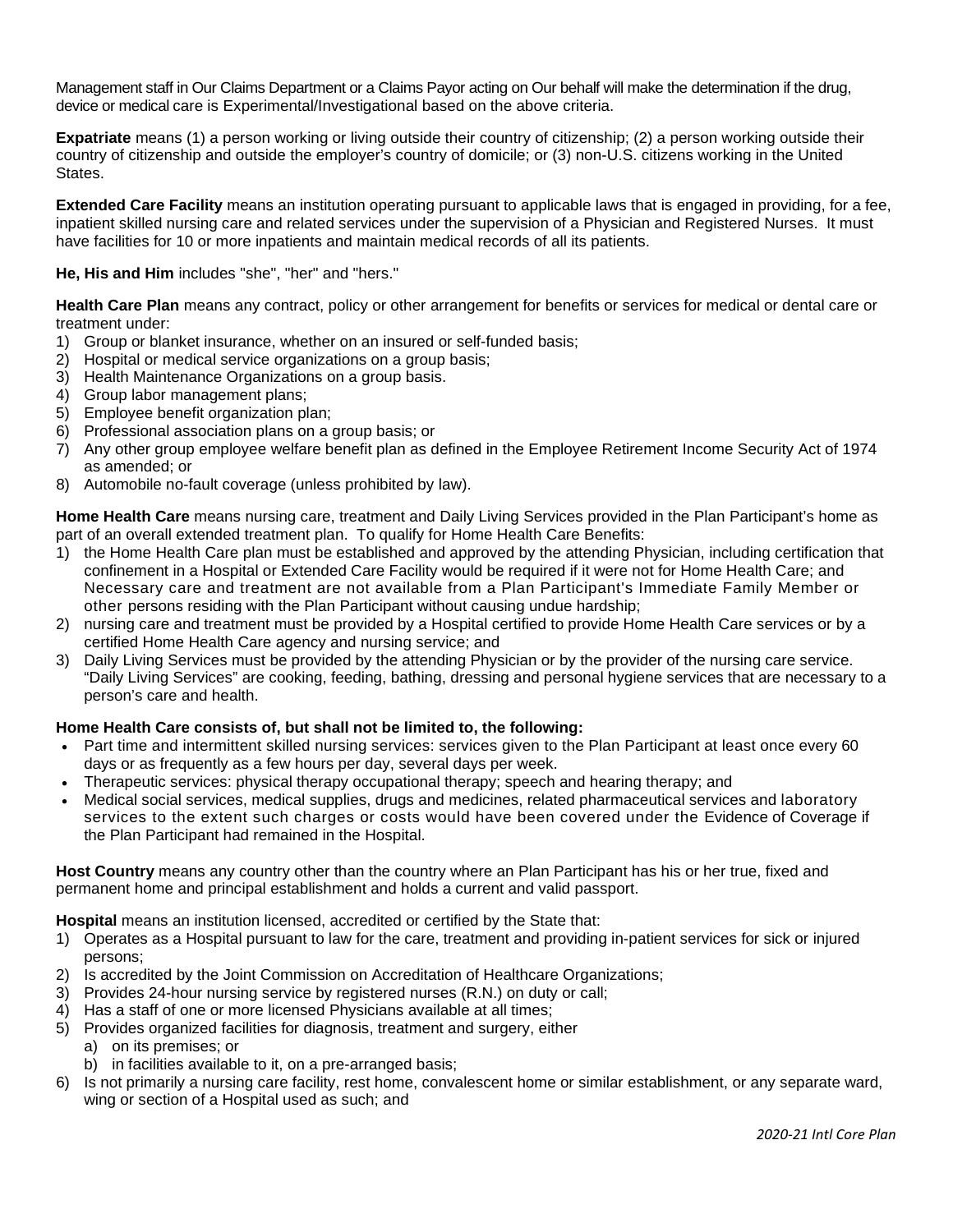Management staff in Our Claims Department or a Claims Payor acting on Our behalf will make the determination if the drug, device or medical care is Experimental/Investigational based on the above criteria.

**Expatriate** means (1) a person working or living outside their country of citizenship; (2) a person working outside their country of citizenship and outside the employer's country of domicile; or (3) non-U.S. citizens working in the United States.

**Extended Care Facility** means an institution operating pursuant to applicable laws that is engaged in providing, for a fee, inpatient skilled nursing care and related services under the supervision of a Physician and Registered Nurses. It must have facilities for 10 or more inpatients and maintain medical records of all its patients.

**He, His and Him** includes "she", "her" and "hers."

**Health Care Plan** means any contract, policy or other arrangement for benefits or services for medical or dental care or treatment under:

- 1) Group or blanket insurance, whether on an insured or self-funded basis;
- 2) Hospital or medical service organizations on a group basis;
- 3) Health Maintenance Organizations on a group basis.
- 4) Group labor management plans;
- 5) Employee benefit organization plan;
- 6) Professional association plans on a group basis; or
- 7) Any other group employee welfare benefit plan as defined in the Employee Retirement Income Security Act of 1974 as amended; or
- 8) Automobile no-fault coverage (unless prohibited by law).

**Home Health Care** means nursing care, treatment and Daily Living Services provided in the Plan Participant's home as part of an overall extended treatment plan. To qualify for Home Health Care Benefits:

- 1) the Home Health Care plan must be established and approved by the attending Physician, including certification that confinement in a Hospital or Extended Care Facility would be required if it were not for Home Health Care; and Necessary care and treatment are not available from a Plan Participant's Immediate Family Member or other persons residing with the Plan Participant without causing undue hardship;
- 2) nursing care and treatment must be provided by a Hospital certified to provide Home Health Care services or by a certified Home Health Care agency and nursing service; and
- 3) Daily Living Services must be provided by the attending Physician or by the provider of the nursing care service. "Daily Living Services" are cooking, feeding, bathing, dressing and personal hygiene services that are necessary to a person's care and health.

#### **Home Health Care consists of, but shall not be limited to, the following:**

- Part time and intermittent skilled nursing services: services given to the Plan Participant at least once every 60 days or as frequently as a few hours per day, several days per week.
- Therapeutic services: physical therapy occupational therapy; speech and hearing therapy; and
- Medical social services, medical supplies, drugs and medicines, related pharmaceutical services and laboratory services to the extent such charges or costs would have been covered under the Evidence of Coverage if the Plan Participant had remained in the Hospital.

**Host Country** means any country other than the country where an Plan Participant has his or her true, fixed and permanent home and principal establishment and holds a current and valid passport.

**Hospital** means an institution licensed, accredited or certified by the State that:

- 1) Operates as a Hospital pursuant to law for the care, treatment and providing in-patient services for sick or injured persons;
- 2) Is accredited by the Joint Commission on Accreditation of Healthcare Organizations;
- 3) Provides 24-hour nursing service by registered nurses (R.N.) on duty or call;
- 4) Has a staff of one or more licensed Physicians available at all times;
- 5) Provides organized facilities for diagnosis, treatment and surgery, either
	- a) on its premises; or
	- b) in facilities available to it, on a pre-arranged basis;
- 6) Is not primarily a nursing care facility, rest home, convalescent home or similar establishment, or any separate ward, wing or section of a Hospital used as such; and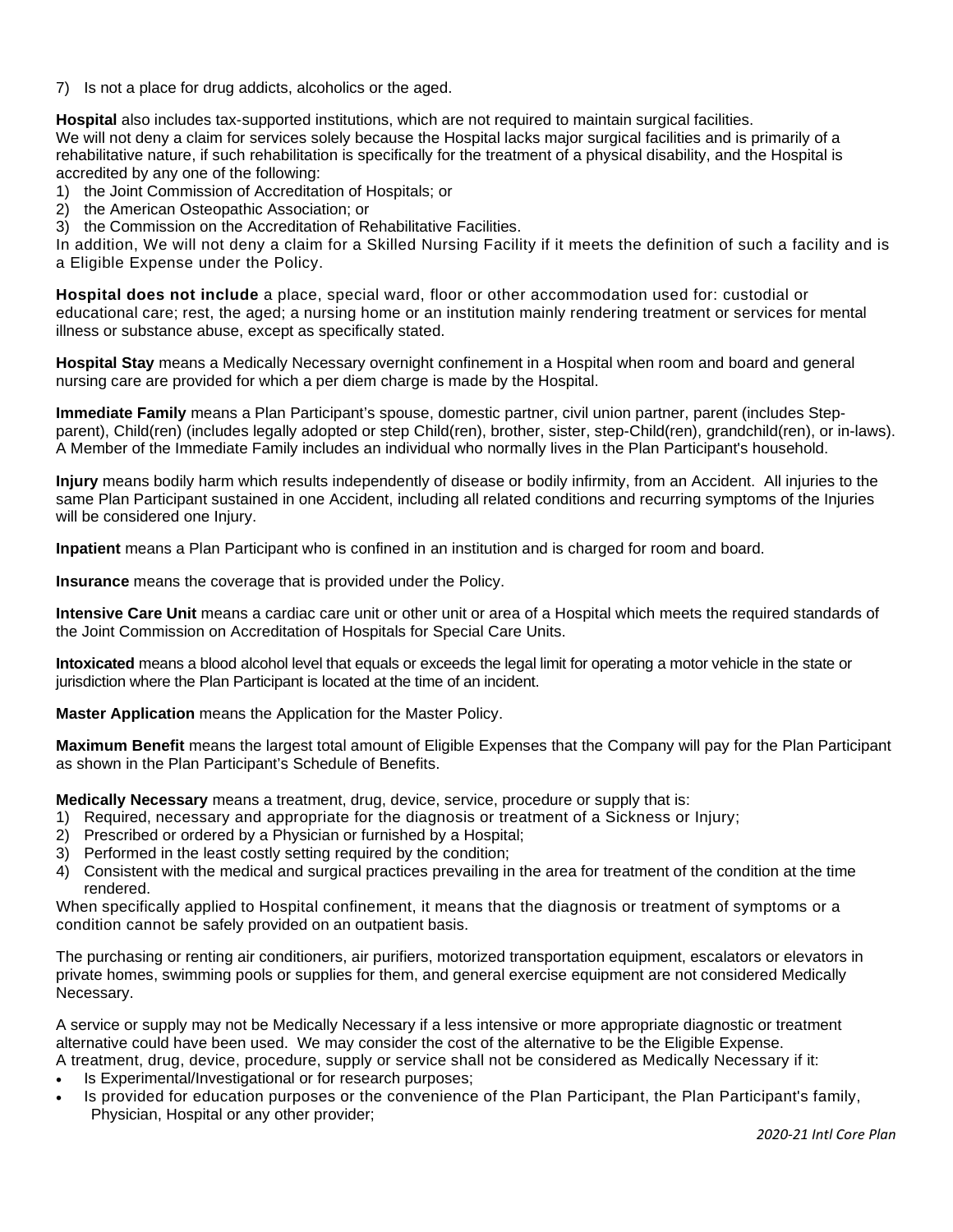7) Is not a place for drug addicts, alcoholics or the aged.

**Hospital** also includes tax-supported institutions, which are not required to maintain surgical facilities. We will not deny a claim for services solely because the Hospital lacks major surgical facilities and is primarily of a rehabilitative nature, if such rehabilitation is specifically for the treatment of a physical disability, and the Hospital is accredited by any one of the following:

1) the Joint Commission of Accreditation of Hospitals; or

2) the American Osteopathic Association; or

3) the Commission on the Accreditation of Rehabilitative Facilities.

In addition, We will not deny a claim for a Skilled Nursing Facility if it meets the definition of such a facility and is a Eligible Expense under the Policy.

**Hospital does not include** a place, special ward, floor or other accommodation used for: custodial or educational care; rest, the aged; a nursing home or an institution mainly rendering treatment or services for mental illness or substance abuse, except as specifically stated.

**Hospital Stay** means a Medically Necessary overnight confinement in a Hospital when room and board and general nursing care are provided for which a per diem charge is made by the Hospital.

**Immediate Family** means a Plan Participant's spouse, domestic partner, civil union partner, parent (includes Stepparent), Child(ren) (includes legally adopted or step Child(ren), brother, sister, step-Child(ren), grandchild(ren), or in-laws). A Member of the Immediate Family includes an individual who normally lives in the Plan Participant's household.

**Injury** means bodily harm which results independently of disease or bodily infirmity, from an Accident. All injuries to the same Plan Participant sustained in one Accident, including all related conditions and recurring symptoms of the Injuries will be considered one Injury.

**Inpatient** means a Plan Participant who is confined in an institution and is charged for room and board.

**Insurance** means the coverage that is provided under the Policy.

**Intensive Care Unit** means a cardiac care unit or other unit or area of a Hospital which meets the required standards of the Joint Commission on Accreditation of Hospitals for Special Care Units.

**Intoxicated** means a blood alcohol level that equals or exceeds the legal limit for operating a motor vehicle in the state or jurisdiction where the Plan Participant is located at the time of an incident.

**Master Application** means the Application for the Master Policy.

**Maximum Benefit** means the largest total amount of Eligible Expenses that the Company will pay for the Plan Participant as shown in the Plan Participant's Schedule of Benefits.

**Medically Necessary** means a treatment, drug, device, service, procedure or supply that is:

- 1) Required, necessary and appropriate for the diagnosis or treatment of a Sickness or Injury;
- 2) Prescribed or ordered by a Physician or furnished by a Hospital;
- 3) Performed in the least costly setting required by the condition;
- 4) Consistent with the medical and surgical practices prevailing in the area for treatment of the condition at the time rendered.

When specifically applied to Hospital confinement, it means that the diagnosis or treatment of symptoms or a condition cannot be safely provided on an outpatient basis.

The purchasing or renting air conditioners, air purifiers, motorized transportation equipment, escalators or elevators in private homes, swimming pools or supplies for them, and general exercise equipment are not considered Medically Necessary.

A service or supply may not be Medically Necessary if a less intensive or more appropriate diagnostic or treatment alternative could have been used. We may consider the cost of the alternative to be the Eligible Expense.

A treatment, drug, device, procedure, supply or service shall not be considered as Medically Necessary if it:

- Is Experimental/Investigational or for research purposes;
- Is provided for education purposes or the convenience of the Plan Participant, the Plan Participant's family, Physician, Hospital or any other provider;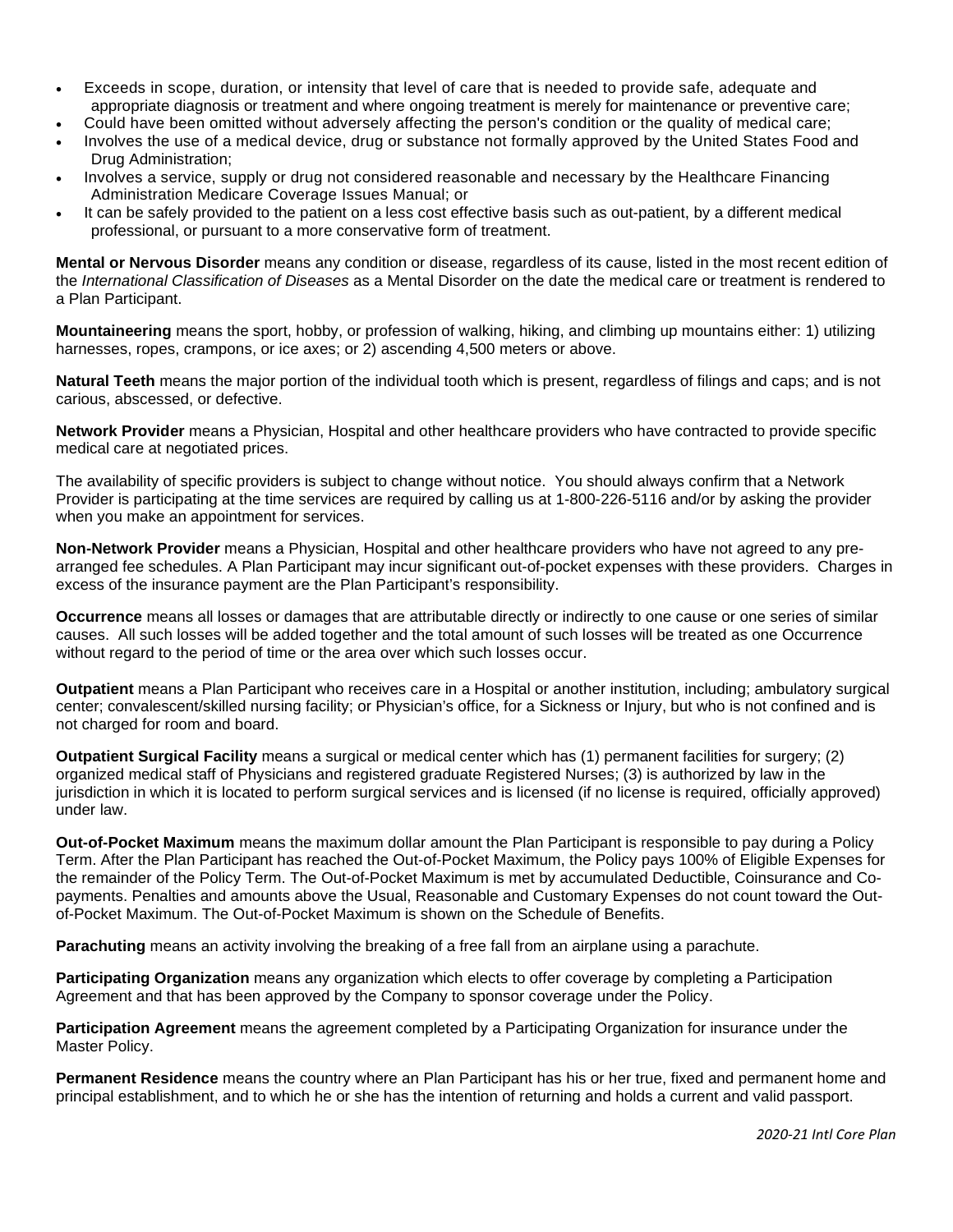- Exceeds in scope, duration, or intensity that level of care that is needed to provide safe, adequate and appropriate diagnosis or treatment and where ongoing treatment is merely for maintenance or preventive care;
- Could have been omitted without adversely affecting the person's condition or the quality of medical care;
- Involves the use of a medical device, drug or substance not formally approved by the United States Food and Drug Administration;
- Involves a service, supply or drug not considered reasonable and necessary by the Healthcare Financing Administration Medicare Coverage Issues Manual; or
- It can be safely provided to the patient on a less cost effective basis such as out-patient, by a different medical professional, or pursuant to a more conservative form of treatment.

**Mental or Nervous Disorder** means any condition or disease, regardless of its cause, listed in the most recent edition of the *International Classification of Diseases* as a Mental Disorder on the date the medical care or treatment is rendered to a Plan Participant.

**Mountaineering** means the sport, hobby, or profession of walking, hiking, and climbing up mountains either: 1) utilizing harnesses, ropes, crampons, or ice axes; or 2) ascending 4,500 meters or above.

**Natural Teeth** means the major portion of the individual tooth which is present, regardless of filings and caps; and is not carious, abscessed, or defective.

**Network Provider** means a Physician, Hospital and other healthcare providers who have contracted to provide specific medical care at negotiated prices.

The availability of specific providers is subject to change without notice. You should always confirm that a Network Provider is participating at the time services are required by calling us at 1-800-226-5116 and/or by asking the provider when you make an appointment for services.

**Non-Network Provider** means a Physician, Hospital and other healthcare providers who have not agreed to any prearranged fee schedules. A Plan Participant may incur significant out-of-pocket expenses with these providers. Charges in excess of the insurance payment are the Plan Participant's responsibility.

**Occurrence** means all losses or damages that are attributable directly or indirectly to one cause or one series of similar causes. All such losses will be added together and the total amount of such losses will be treated as one Occurrence without regard to the period of time or the area over which such losses occur.

**Outpatient** means a Plan Participant who receives care in a Hospital or another institution, including; ambulatory surgical center; convalescent/skilled nursing facility; or Physician's office, for a Sickness or Injury, but who is not confined and is not charged for room and board.

**Outpatient Surgical Facility** means a surgical or medical center which has (1) permanent facilities for surgery; (2) organized medical staff of Physicians and registered graduate Registered Nurses; (3) is authorized by law in the jurisdiction in which it is located to perform surgical services and is licensed (if no license is required, officially approved) under law.

**Out-of-Pocket Maximum** means the maximum dollar amount the Plan Participant is responsible to pay during a Policy Term. After the Plan Participant has reached the Out-of-Pocket Maximum, the Policy pays 100% of Eligible Expenses for the remainder of the Policy Term. The Out-of-Pocket Maximum is met by accumulated Deductible, Coinsurance and Copayments. Penalties and amounts above the Usual, Reasonable and Customary Expenses do not count toward the Outof-Pocket Maximum. The Out-of-Pocket Maximum is shown on the Schedule of Benefits.

**Parachuting** means an activity involving the breaking of a free fall from an airplane using a parachute.

**Participating Organization** means any organization which elects to offer coverage by completing a Participation Agreement and that has been approved by the Company to sponsor coverage under the Policy.

**Participation Agreement** means the agreement completed by a Participating Organization for insurance under the Master Policy.

**Permanent Residence** means the country where an Plan Participant has his or her true, fixed and permanent home and principal establishment, and to which he or she has the intention of returning and holds a current and valid passport.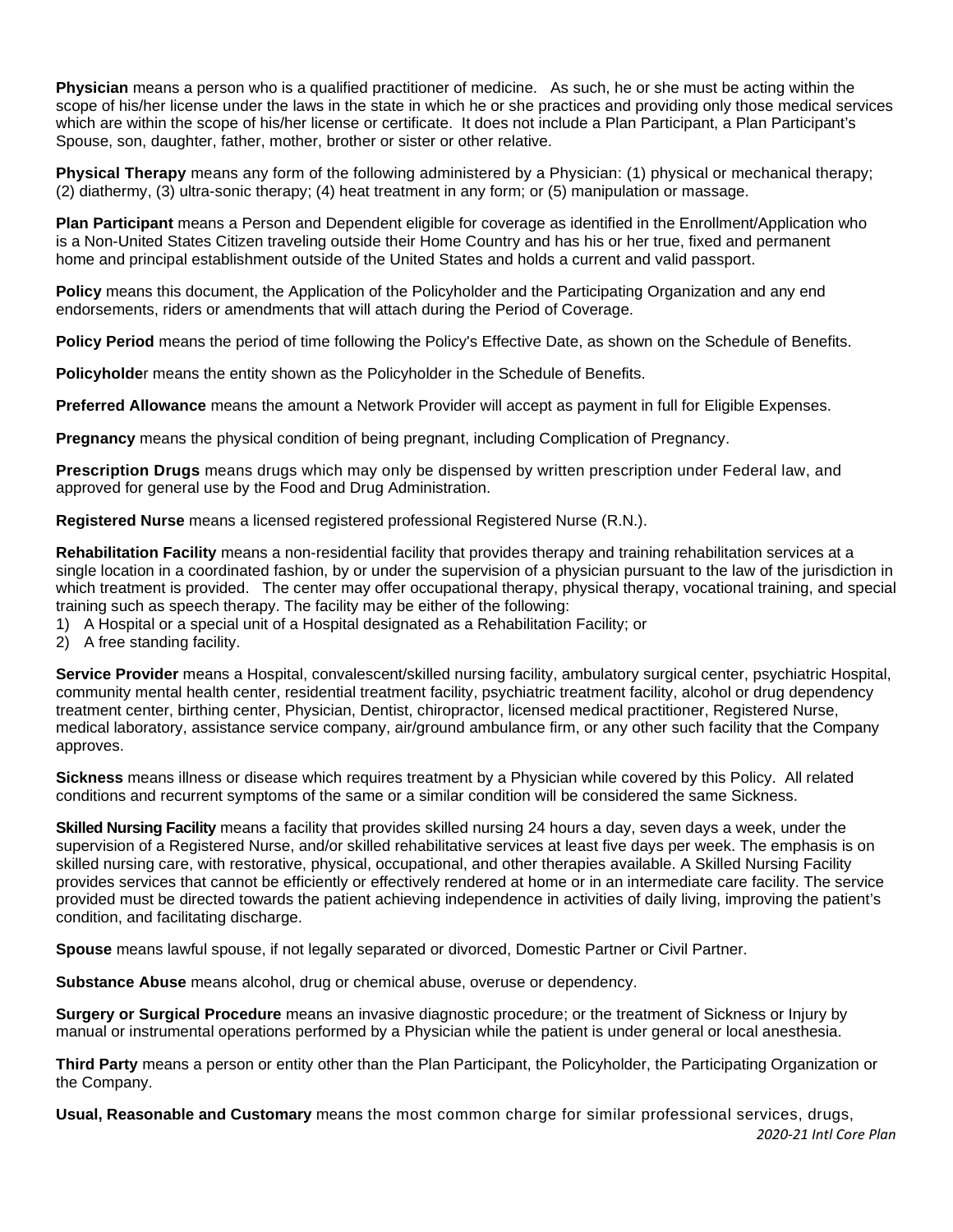**Physician** means a person who is a qualified practitioner of medicine. As such, he or she must be acting within the scope of his/her license under the laws in the state in which he or she practices and providing only those medical services which are within the scope of his/her license or certificate. It does not include a Plan Participant, a Plan Participant's Spouse, son, daughter, father, mother, brother or sister or other relative.

**Physical Therapy** means any form of the following administered by a Physician: (1) physical or mechanical therapy; (2) diathermy, (3) ultra-sonic therapy; (4) heat treatment in any form; or (5) manipulation or massage.

**Plan Participant** means a Person and Dependent eligible for coverage as identified in the Enrollment/Application who is a Non-United States Citizen traveling outside their Home Country and has his or her true, fixed and permanent home and principal establishment outside of the United States and holds a current and valid passport.

**Policy** means this document, the Application of the Policyholder and the Participating Organization and any end endorsements, riders or amendments that will attach during the Period of Coverage.

**Policy Period** means the period of time following the Policy's Effective Date, as shown on the Schedule of Benefits.

**Policyholde**r means the entity shown as the Policyholder in the Schedule of Benefits.

**Preferred Allowance** means the amount a Network Provider will accept as payment in full for Eligible Expenses.

**Pregnancy** means the physical condition of being pregnant, including Complication of Pregnancy.

**Prescription Drugs** means drugs which may only be dispensed by written prescription under Federal law, and approved for general use by the Food and Drug Administration.

**Registered Nurse** means a licensed registered professional Registered Nurse (R.N.).

**Rehabilitation Facility** means a non-residential facility that provides therapy and training rehabilitation services at a single location in a coordinated fashion, by or under the supervision of a physician pursuant to the law of the jurisdiction in which treatment is provided. The center may offer occupational therapy, physical therapy, vocational training, and special training such as speech therapy. The facility may be either of the following:

1) A Hospital or a special unit of a Hospital designated as a Rehabilitation Facility; or

2) A free standing facility.

**Service Provider** means a Hospital, convalescent/skilled nursing facility, ambulatory surgical center, psychiatric Hospital, community mental health center, residential treatment facility, psychiatric treatment facility, alcohol or drug dependency treatment center, birthing center, Physician, Dentist, chiropractor, licensed medical practitioner, Registered Nurse, medical laboratory, assistance service company, air/ground ambulance firm, or any other such facility that the Company approves.

**Sickness** means illness or disease which requires treatment by a Physician while covered by this Policy. All related conditions and recurrent symptoms of the same or a similar condition will be considered the same Sickness.

**Skilled Nursing Facility** means a facility that provides skilled nursing 24 hours a day, seven days a week, under the supervision of a Registered Nurse, and/or skilled rehabilitative services at least five days per week. The emphasis is on skilled nursing care, with restorative, physical, occupational, and other therapies available. A Skilled Nursing Facility provides services that cannot be efficiently or effectively rendered at home or in an intermediate care facility. The service provided must be directed towards the patient achieving independence in activities of daily living, improving the patient's condition, and facilitating discharge.

**Spouse** means lawful spouse, if not legally separated or divorced, Domestic Partner or Civil Partner.

**Substance Abuse** means alcohol, drug or chemical abuse, overuse or dependency.

**Surgery or Surgical Procedure** means an invasive diagnostic procedure; or the treatment of Sickness or Injury by manual or instrumental operations performed by a Physician while the patient is under general or local anesthesia.

**Third Party** means a person or entity other than the Plan Participant, the Policyholder, the Participating Organization or the Company.

**Usual, Reasonable and Customary** means the most common charge for similar professional services, drugs,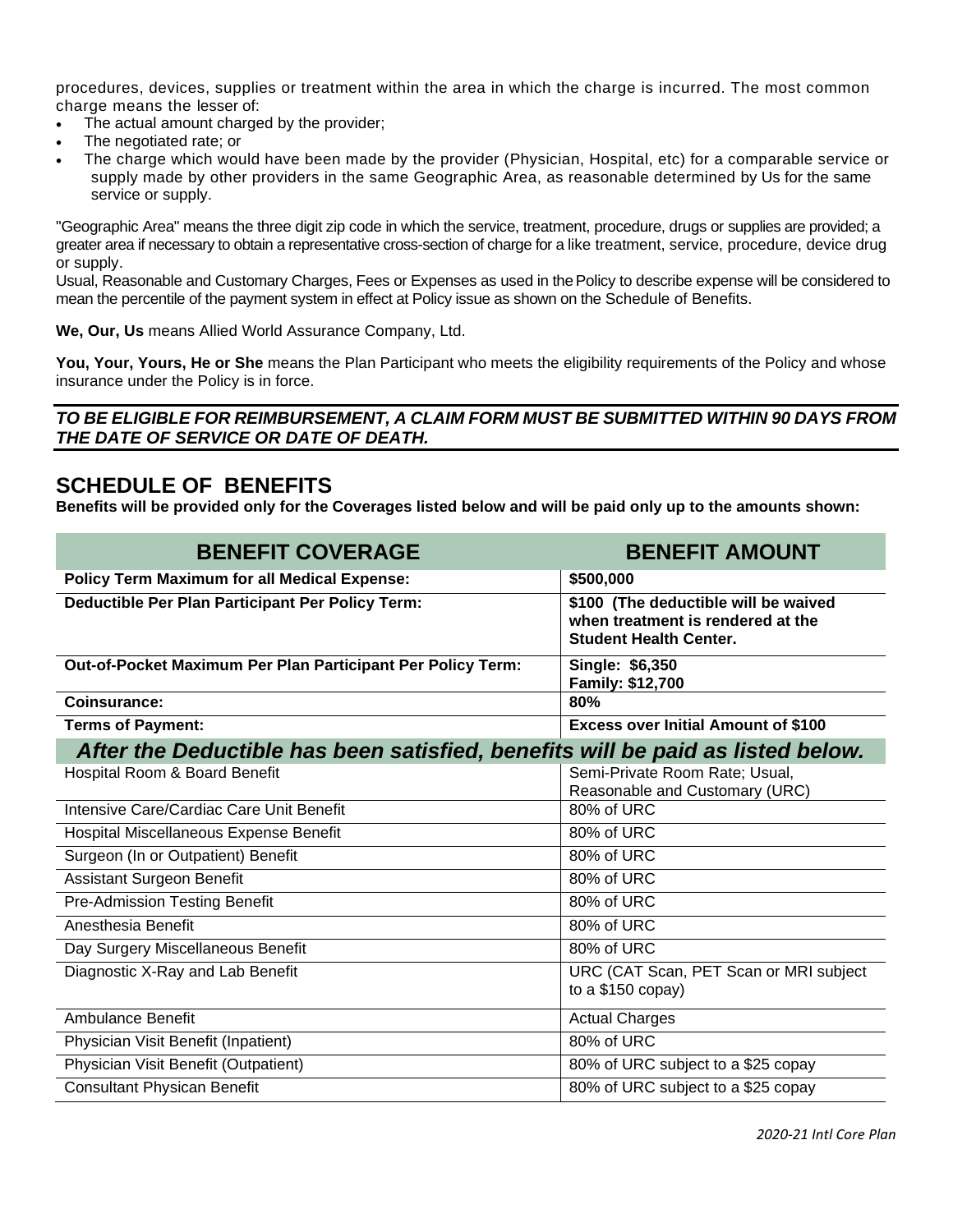procedures, devices, supplies or treatment within the area in which the charge is incurred. The most common charge means the lesser of:

- The actual amount charged by the provider;
- The negotiated rate; or
- The charge which would have been made by the provider (Physician, Hospital, etc) for a comparable service or supply made by other providers in the same Geographic Area, as reasonable determined by Us for the same service or supply.

"Geographic Area" means the three digit zip code in which the service, treatment, procedure, drugs or supplies are provided; a greater area if necessary to obtain a representative cross-section of charge for a like treatment, service, procedure, device drug or supply.

Usual, Reasonable and Customary Charges, Fees or Expenses as used in thePolicy to describe expense will be considered to mean the percentile of the payment system in effect at Policy issue as shown on the Schedule of Benefits.

**We, Our, Us** means Allied World Assurance Company, Ltd.

**You, Your, Yours, He or She** means the Plan Participant who meets the eligibility requirements of the Policy and whose insurance under the Policy is in force.

#### *TO BE ELIGIBLE FOR REIMBURSEMENT, A CLAIM FORM MUST BE SUBMITTED WITHIN 90 DAYS FROM THE DATE OF SERVICE OR DATE OF DEATH.*

### **SCHEDULE OF BENEFITS**

**Benefits will be provided only for the Coverages listed below and will be paid only up to the amounts shown:**

| <b>BENEFIT COVERAGE</b>                                                         | <b>BENEFIT AMOUNT</b>                                                                                      |  |
|---------------------------------------------------------------------------------|------------------------------------------------------------------------------------------------------------|--|
| <b>Policy Term Maximum for all Medical Expense:</b>                             | \$500,000                                                                                                  |  |
| Deductible Per Plan Participant Per Policy Term:                                | \$100 (The deductible will be waived<br>when treatment is rendered at the<br><b>Student Health Center.</b> |  |
| Out-of-Pocket Maximum Per Plan Participant Per Policy Term:                     | Single: \$6,350<br>Family: \$12,700                                                                        |  |
| Coinsurance:                                                                    | 80%                                                                                                        |  |
| <b>Terms of Payment:</b>                                                        | <b>Excess over Initial Amount of \$100</b>                                                                 |  |
| After the Deductible has been satisfied, benefits will be paid as listed below. |                                                                                                            |  |
| Hospital Room & Board Benefit                                                   | Semi-Private Room Rate; Usual,<br>Reasonable and Customary (URC)                                           |  |
| Intensive Care/Cardiac Care Unit Benefit                                        | 80% of URC                                                                                                 |  |
| Hospital Miscellaneous Expense Benefit                                          | 80% of URC                                                                                                 |  |
| Surgeon (In or Outpatient) Benefit                                              | 80% of URC                                                                                                 |  |
| <b>Assistant Surgeon Benefit</b>                                                | 80% of URC                                                                                                 |  |
| <b>Pre-Admission Testing Benefit</b>                                            | 80% of URC                                                                                                 |  |
| Anesthesia Benefit                                                              | 80% of URC                                                                                                 |  |
| Day Surgery Miscellaneous Benefit                                               | 80% of URC                                                                                                 |  |
| Diagnostic X-Ray and Lab Benefit                                                | URC (CAT Scan, PET Scan or MRI subject<br>to a $$150$ copay)                                               |  |
| Ambulance Benefit                                                               | <b>Actual Charges</b>                                                                                      |  |
| Physician Visit Benefit (Inpatient)                                             | 80% of URC                                                                                                 |  |
| Physician Visit Benefit (Outpatient)                                            | 80% of URC subject to a \$25 copay                                                                         |  |
| <b>Consultant Physican Benefit</b>                                              | 80% of URC subject to a \$25 copay                                                                         |  |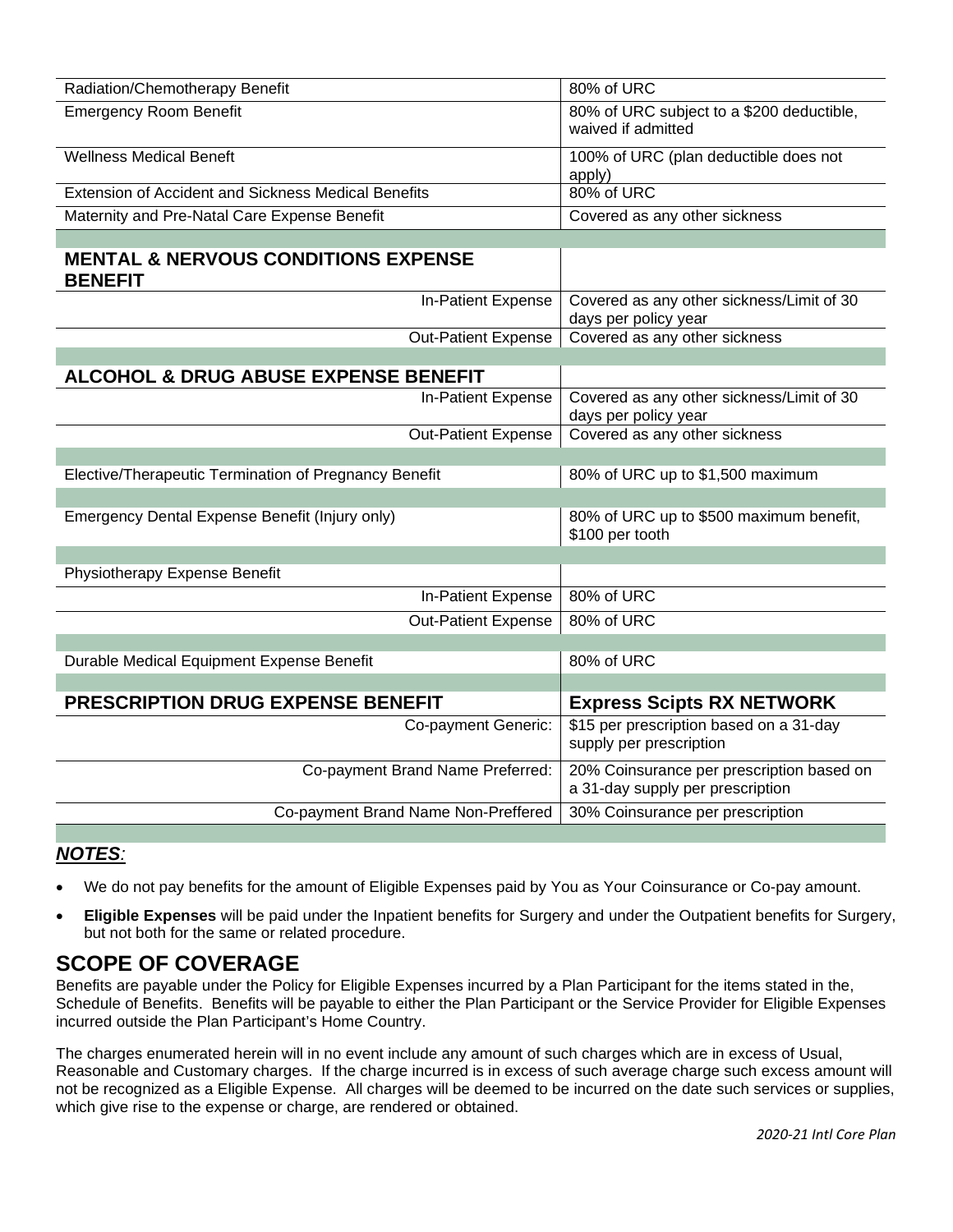| <b>Emergency Room Benefit</b><br>80% of URC subject to a \$200 deductible,<br>waived if admitted<br><b>Wellness Medical Beneft</b><br>100% of URC (plan deductible does not<br>apply)<br>80% of URC<br><b>Extension of Accident and Sickness Medical Benefits</b><br>Covered as any other sickness<br>Maternity and Pre-Natal Care Expense Benefit<br><b>MENTAL &amp; NERVOUS CONDITIONS EXPENSE</b><br><b>BENEFIT</b><br>Covered as any other sickness/Limit of 30<br>In-Patient Expense<br>days per policy year<br>Out-Patient Expense<br>Covered as any other sickness<br><b>ALCOHOL &amp; DRUG ABUSE EXPENSE BENEFIT</b><br>Covered as any other sickness/Limit of 30<br>In-Patient Expense<br>days per policy year<br>Covered as any other sickness<br><b>Out-Patient Expense</b><br>Elective/Therapeutic Termination of Pregnancy Benefit<br>80% of URC up to \$1,500 maximum<br>80% of URC up to \$500 maximum benefit,<br>Emergency Dental Expense Benefit (Injury only)<br>\$100 per tooth<br>Physiotherapy Expense Benefit<br>80% of URC<br>In-Patient Expense<br>80% of URC<br><b>Out-Patient Expense</b><br>Durable Medical Equipment Expense Benefit<br>80% of URC<br><b>PRESCRIPTION DRUG EXPENSE BENEFIT</b><br><b>Express Scipts RX NETWORK</b><br>\$15 per prescription based on a 31-day<br>Co-payment Generic:<br>supply per prescription<br>Co-payment Brand Name Preferred:<br>20% Coinsurance per prescription based on<br>a 31-day supply per prescription<br>Co-payment Brand Name Non-Preffered<br>30% Coinsurance per prescription | Radiation/Chemotherapy Benefit | 80% of URC |  |
|--------------------------------------------------------------------------------------------------------------------------------------------------------------------------------------------------------------------------------------------------------------------------------------------------------------------------------------------------------------------------------------------------------------------------------------------------------------------------------------------------------------------------------------------------------------------------------------------------------------------------------------------------------------------------------------------------------------------------------------------------------------------------------------------------------------------------------------------------------------------------------------------------------------------------------------------------------------------------------------------------------------------------------------------------------------------------------------------------------------------------------------------------------------------------------------------------------------------------------------------------------------------------------------------------------------------------------------------------------------------------------------------------------------------------------------------------------------------------------------------------------------------------------------------------------------|--------------------------------|------------|--|
|                                                                                                                                                                                                                                                                                                                                                                                                                                                                                                                                                                                                                                                                                                                                                                                                                                                                                                                                                                                                                                                                                                                                                                                                                                                                                                                                                                                                                                                                                                                                                              |                                |            |  |
|                                                                                                                                                                                                                                                                                                                                                                                                                                                                                                                                                                                                                                                                                                                                                                                                                                                                                                                                                                                                                                                                                                                                                                                                                                                                                                                                                                                                                                                                                                                                                              |                                |            |  |
|                                                                                                                                                                                                                                                                                                                                                                                                                                                                                                                                                                                                                                                                                                                                                                                                                                                                                                                                                                                                                                                                                                                                                                                                                                                                                                                                                                                                                                                                                                                                                              |                                |            |  |
|                                                                                                                                                                                                                                                                                                                                                                                                                                                                                                                                                                                                                                                                                                                                                                                                                                                                                                                                                                                                                                                                                                                                                                                                                                                                                                                                                                                                                                                                                                                                                              |                                |            |  |
|                                                                                                                                                                                                                                                                                                                                                                                                                                                                                                                                                                                                                                                                                                                                                                                                                                                                                                                                                                                                                                                                                                                                                                                                                                                                                                                                                                                                                                                                                                                                                              |                                |            |  |
|                                                                                                                                                                                                                                                                                                                                                                                                                                                                                                                                                                                                                                                                                                                                                                                                                                                                                                                                                                                                                                                                                                                                                                                                                                                                                                                                                                                                                                                                                                                                                              |                                |            |  |
|                                                                                                                                                                                                                                                                                                                                                                                                                                                                                                                                                                                                                                                                                                                                                                                                                                                                                                                                                                                                                                                                                                                                                                                                                                                                                                                                                                                                                                                                                                                                                              |                                |            |  |
|                                                                                                                                                                                                                                                                                                                                                                                                                                                                                                                                                                                                                                                                                                                                                                                                                                                                                                                                                                                                                                                                                                                                                                                                                                                                                                                                                                                                                                                                                                                                                              |                                |            |  |
|                                                                                                                                                                                                                                                                                                                                                                                                                                                                                                                                                                                                                                                                                                                                                                                                                                                                                                                                                                                                                                                                                                                                                                                                                                                                                                                                                                                                                                                                                                                                                              |                                |            |  |
|                                                                                                                                                                                                                                                                                                                                                                                                                                                                                                                                                                                                                                                                                                                                                                                                                                                                                                                                                                                                                                                                                                                                                                                                                                                                                                                                                                                                                                                                                                                                                              |                                |            |  |
|                                                                                                                                                                                                                                                                                                                                                                                                                                                                                                                                                                                                                                                                                                                                                                                                                                                                                                                                                                                                                                                                                                                                                                                                                                                                                                                                                                                                                                                                                                                                                              |                                |            |  |
|                                                                                                                                                                                                                                                                                                                                                                                                                                                                                                                                                                                                                                                                                                                                                                                                                                                                                                                                                                                                                                                                                                                                                                                                                                                                                                                                                                                                                                                                                                                                                              |                                |            |  |
|                                                                                                                                                                                                                                                                                                                                                                                                                                                                                                                                                                                                                                                                                                                                                                                                                                                                                                                                                                                                                                                                                                                                                                                                                                                                                                                                                                                                                                                                                                                                                              |                                |            |  |
|                                                                                                                                                                                                                                                                                                                                                                                                                                                                                                                                                                                                                                                                                                                                                                                                                                                                                                                                                                                                                                                                                                                                                                                                                                                                                                                                                                                                                                                                                                                                                              |                                |            |  |
|                                                                                                                                                                                                                                                                                                                                                                                                                                                                                                                                                                                                                                                                                                                                                                                                                                                                                                                                                                                                                                                                                                                                                                                                                                                                                                                                                                                                                                                                                                                                                              |                                |            |  |
|                                                                                                                                                                                                                                                                                                                                                                                                                                                                                                                                                                                                                                                                                                                                                                                                                                                                                                                                                                                                                                                                                                                                                                                                                                                                                                                                                                                                                                                                                                                                                              |                                |            |  |
|                                                                                                                                                                                                                                                                                                                                                                                                                                                                                                                                                                                                                                                                                                                                                                                                                                                                                                                                                                                                                                                                                                                                                                                                                                                                                                                                                                                                                                                                                                                                                              |                                |            |  |
|                                                                                                                                                                                                                                                                                                                                                                                                                                                                                                                                                                                                                                                                                                                                                                                                                                                                                                                                                                                                                                                                                                                                                                                                                                                                                                                                                                                                                                                                                                                                                              |                                |            |  |
|                                                                                                                                                                                                                                                                                                                                                                                                                                                                                                                                                                                                                                                                                                                                                                                                                                                                                                                                                                                                                                                                                                                                                                                                                                                                                                                                                                                                                                                                                                                                                              |                                |            |  |
|                                                                                                                                                                                                                                                                                                                                                                                                                                                                                                                                                                                                                                                                                                                                                                                                                                                                                                                                                                                                                                                                                                                                                                                                                                                                                                                                                                                                                                                                                                                                                              |                                |            |  |
|                                                                                                                                                                                                                                                                                                                                                                                                                                                                                                                                                                                                                                                                                                                                                                                                                                                                                                                                                                                                                                                                                                                                                                                                                                                                                                                                                                                                                                                                                                                                                              |                                |            |  |
|                                                                                                                                                                                                                                                                                                                                                                                                                                                                                                                                                                                                                                                                                                                                                                                                                                                                                                                                                                                                                                                                                                                                                                                                                                                                                                                                                                                                                                                                                                                                                              |                                |            |  |
|                                                                                                                                                                                                                                                                                                                                                                                                                                                                                                                                                                                                                                                                                                                                                                                                                                                                                                                                                                                                                                                                                                                                                                                                                                                                                                                                                                                                                                                                                                                                                              |                                |            |  |
|                                                                                                                                                                                                                                                                                                                                                                                                                                                                                                                                                                                                                                                                                                                                                                                                                                                                                                                                                                                                                                                                                                                                                                                                                                                                                                                                                                                                                                                                                                                                                              |                                |            |  |
|                                                                                                                                                                                                                                                                                                                                                                                                                                                                                                                                                                                                                                                                                                                                                                                                                                                                                                                                                                                                                                                                                                                                                                                                                                                                                                                                                                                                                                                                                                                                                              |                                |            |  |

### *NOTES:*

- We do not pay benefits for the amount of Eligible Expenses paid by You as Your Coinsurance or Co-pay amount.
- **Eligible Expenses** will be paid under the Inpatient benefits for Surgery and under the Outpatient benefits for Surgery, but not both for the same or related procedure.

### **SCOPE OF COVERAGE**

Benefits are payable under the Policy for Eligible Expenses incurred by a Plan Participant for the items stated in the, Schedule of Benefits. Benefits will be payable to either the Plan Participant or the Service Provider for Eligible Expenses incurred outside the Plan Participant's Home Country.

The charges enumerated herein will in no event include any amount of such charges which are in excess of Usual, Reasonable and Customary charges. If the charge incurred is in excess of such average charge such excess amount will not be recognized as a Eligible Expense. All charges will be deemed to be incurred on the date such services or supplies, which give rise to the expense or charge, are rendered or obtained.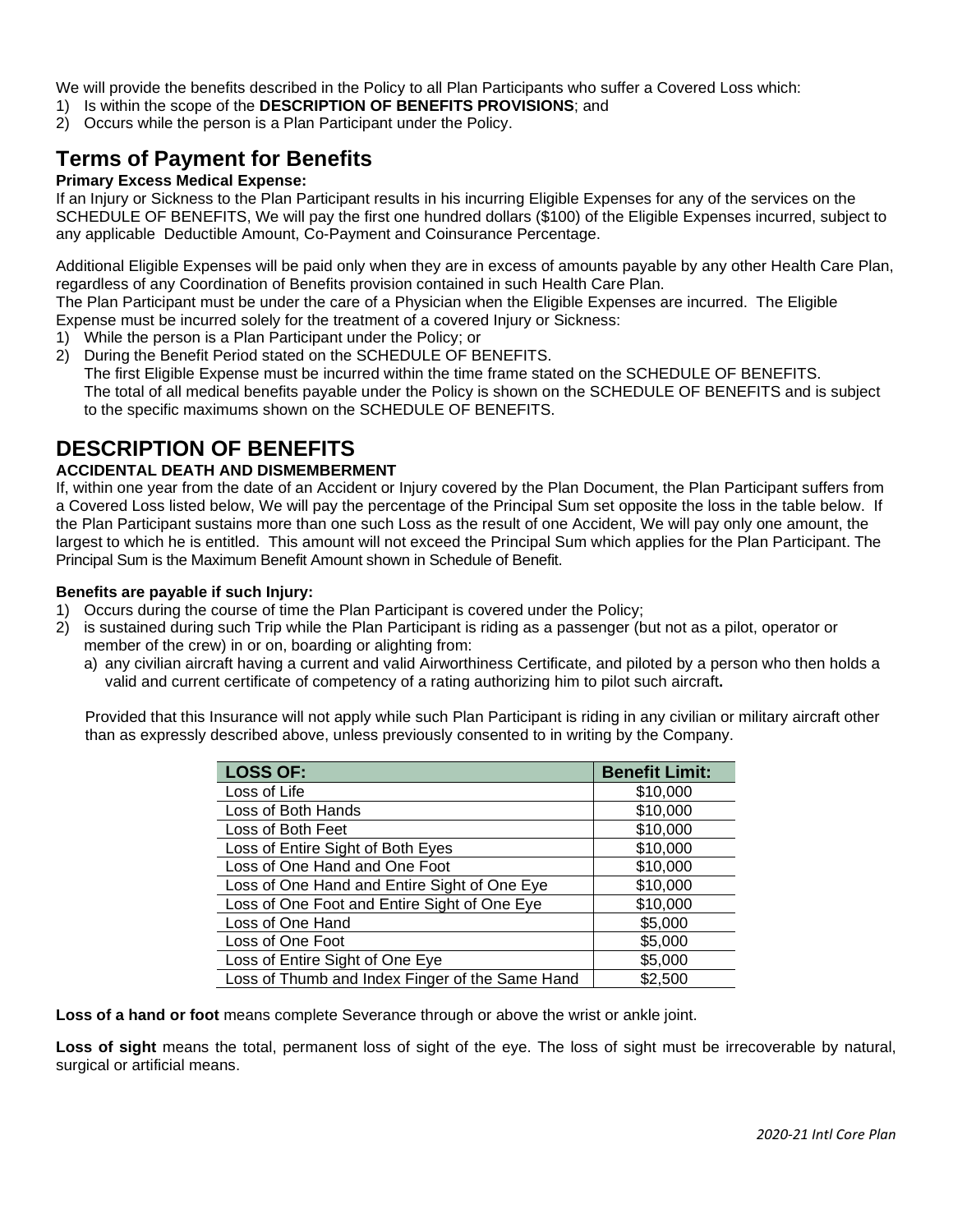We will provide the benefits described in the Policy to all Plan Participants who suffer a Covered Loss which:

- 1) Is within the scope of the **DESCRIPTION OF BENEFITS PROVISIONS**; and
- 2) Occurs while the person is a Plan Participant under the Policy.

# **Terms of Payment for Benefits**

#### **Primary Excess Medical Expense:**

If an Injury or Sickness to the Plan Participant results in his incurring Eligible Expenses for any of the services on the SCHEDULE OF BENEFITS, We will pay the first one hundred dollars (\$100) of the Eligible Expenses incurred, subject to any applicable Deductible Amount, Co-Payment and Coinsurance Percentage.

Additional Eligible Expenses will be paid only when they are in excess of amounts payable by any other Health Care Plan, regardless of any Coordination of Benefits provision contained in such Health Care Plan.

The Plan Participant must be under the care of a Physician when the Eligible Expenses are incurred. The Eligible Expense must be incurred solely for the treatment of a covered Injury or Sickness:

- 1) While the person is a Plan Participant under the Policy; or
- 2) During the Benefit Period stated on the SCHEDULE OF BENEFITS. The first Eligible Expense must be incurred within the time frame stated on the SCHEDULE OF BENEFITS. The total of all medical benefits payable under the Policy is shown on the SCHEDULE OF BENEFITS and is subject

to the specific maximums shown on the SCHEDULE OF BENEFITS.

### **DESCRIPTION OF BENEFITS**

#### **ACCIDENTAL DEATH AND DISMEMBERMENT**

If, within one year from the date of an Accident or Injury covered by the Plan Document, the Plan Participant suffers from a Covered Loss listed below, We will pay the percentage of the Principal Sum set opposite the loss in the table below. If the Plan Participant sustains more than one such Loss as the result of one Accident, We will pay only one amount, the largest to which he is entitled. This amount will not exceed the Principal Sum which applies for the Plan Participant. The Principal Sum is the Maximum Benefit Amount shown in Schedule of Benefit.

#### **Benefits are payable if such Injury:**

- 1) Occurs during the course of time the Plan Participant is covered under the Policy;
- 2) is sustained during such Trip while the Plan Participant is riding as a passenger (but not as a pilot, operator or member of the crew) in or on, boarding or alighting from:
	- a) any civilian aircraft having a current and valid Airworthiness Certificate, and piloted by a person who then holds a valid and current certificate of competency of a rating authorizing him to pilot such aircraft**.**

Provided that this Insurance will not apply while such Plan Participant is riding in any civilian or military aircraft other than as expressly described above, unless previously consented to in writing by the Company.

| <b>LOSS OF:</b>                                 | <b>Benefit Limit:</b> |
|-------------------------------------------------|-----------------------|
| Loss of Life                                    | \$10,000              |
| Loss of Both Hands                              | \$10,000              |
| Loss of Both Feet                               | \$10,000              |
| Loss of Entire Sight of Both Eyes               | \$10,000              |
| Loss of One Hand and One Foot                   | \$10,000              |
| Loss of One Hand and Entire Sight of One Eye    | \$10,000              |
| Loss of One Foot and Entire Sight of One Eye    | \$10,000              |
| Loss of One Hand                                | \$5,000               |
| Loss of One Foot                                | \$5,000               |
| Loss of Entire Sight of One Eye                 | \$5,000               |
| Loss of Thumb and Index Finger of the Same Hand | \$2,500               |

**Loss of a hand or foot** means complete Severance through or above the wrist or ankle joint.

**Loss of sight** means the total, permanent loss of sight of the eye. The loss of sight must be irrecoverable by natural, surgical or artificial means.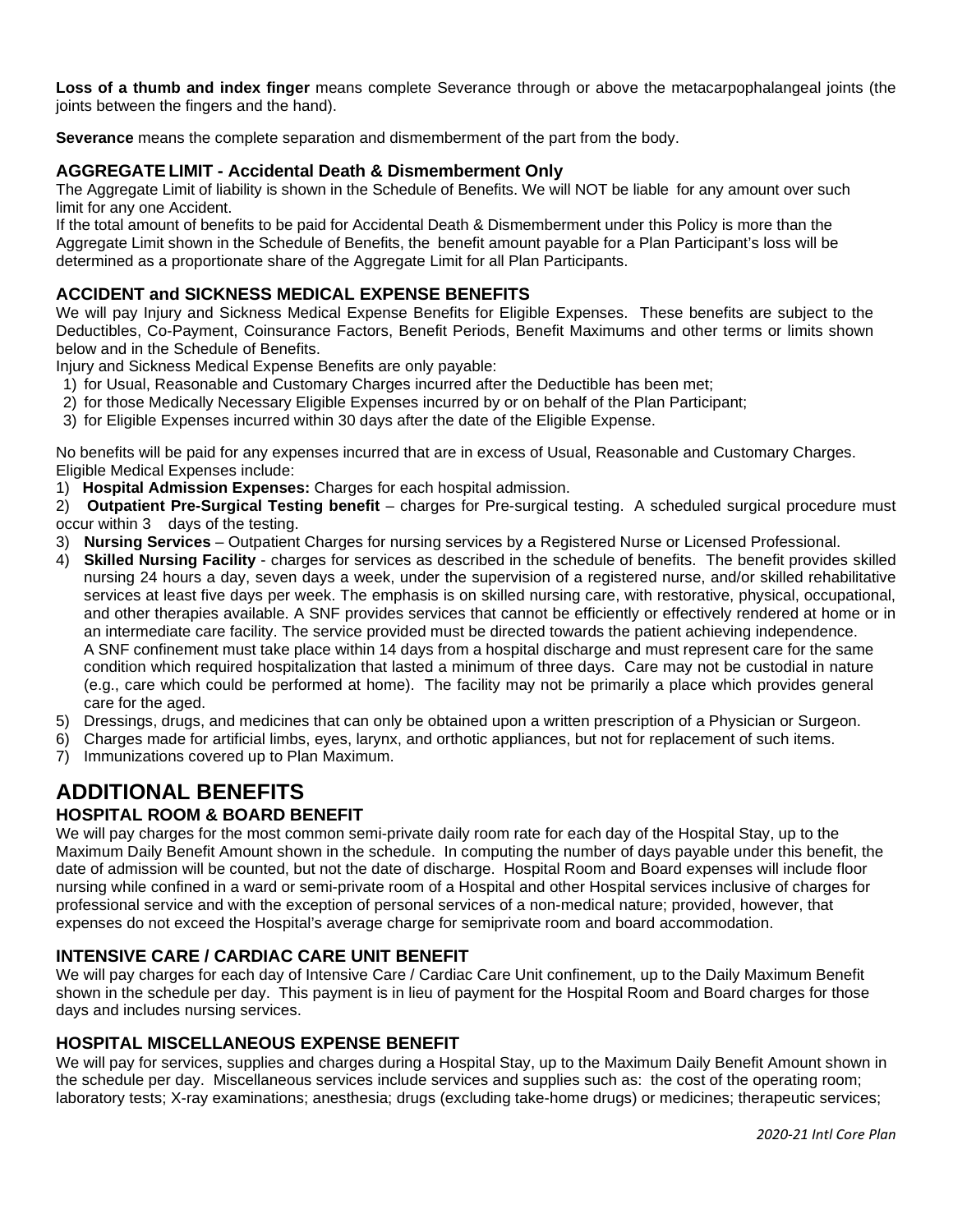**Loss of a thumb and index finger** means complete Severance through or above the metacarpophalangeal joints (the joints between the fingers and the hand).

**Severance** means the complete separation and dismemberment of the part from the body.

#### **AGGREGATE LIMIT - Accidental Death & Dismemberment Only**

The Aggregate Limit of liability is shown in the Schedule of Benefits. We will NOT be liable for any amount over such limit for any one Accident.

If the total amount of benefits to be paid for Accidental Death & Dismemberment under this Policy is more than the Aggregate Limit shown in the Schedule of Benefits, the benefit amount payable for a Plan Participant's loss will be determined as a proportionate share of the Aggregate Limit for all Plan Participants.

#### **ACCIDENT and SICKNESS MEDICAL EXPENSE BENEFITS**

We will pay Injury and Sickness Medical Expense Benefits for Eligible Expenses. These benefits are subject to the Deductibles, Co-Payment, Coinsurance Factors, Benefit Periods, Benefit Maximums and other terms or limits shown below and in the Schedule of Benefits.

Injury and Sickness Medical Expense Benefits are only payable:

- 1) for Usual, Reasonable and Customary Charges incurred after the Deductible has been met;
- 2) for those Medically Necessary Eligible Expenses incurred by or on behalf of the Plan Participant;
- 3) for Eligible Expenses incurred within 30 days after the date of the Eligible Expense.

No benefits will be paid for any expenses incurred that are in excess of Usual, Reasonable and Customary Charges. Eligible Medical Expenses include:

1) **Hospital Admission Expenses:** Charges for each hospital admission.

2) **Outpatient Pre-Surgical Testing benefit** – charges for Pre-surgical testing. A scheduled surgical procedure must occur within 3 days of the testing.

- 3) **Nursing Services** Outpatient Charges for nursing services by a Registered Nurse or Licensed Professional.
- 4) **Skilled Nursing Facility** charges for services as described in the schedule of benefits. The benefit provides skilled nursing 24 hours a day, seven days a week, under the supervision of a registered nurse, and/or skilled rehabilitative services at least five days per week. The emphasis is on skilled nursing care, with restorative, physical, occupational, and other therapies available. A SNF provides services that cannot be efficiently or effectively rendered at home or in an intermediate care facility. The service provided must be directed towards the patient achieving independence. A SNF confinement must take place within 14 days from a hospital discharge and must represent care for the same condition which required hospitalization that lasted a minimum of three days. Care may not be custodial in nature (e.g., care which could be performed at home). The facility may not be primarily a place which provides general care for the aged.
- 5) Dressings, drugs, and medicines that can only be obtained upon a written prescription of a Physician or Surgeon.
- 6) Charges made for artificial limbs, eyes, larynx, and orthotic appliances, but not for replacement of such items.
- 7) Immunizations covered up to Plan Maximum.

#### **ADDITIONAL BENEFITS HOSPITAL ROOM & BOARD BENEFIT**

We will pay charges for the most common semi-private daily room rate for each day of the Hospital Stay, up to the Maximum Daily Benefit Amount shown in the schedule. In computing the number of days payable under this benefit, the date of admission will be counted, but not the date of discharge. Hospital Room and Board expenses will include floor nursing while confined in a ward or semi-private room of a Hospital and other Hospital services inclusive of charges for professional service and with the exception of personal services of a non-medical nature; provided, however, that expenses do not exceed the Hospital's average charge for semiprivate room and board accommodation.

#### **INTENSIVE CARE / CARDIAC CARE UNIT BENEFIT**

We will pay charges for each day of Intensive Care / Cardiac Care Unit confinement, up to the Daily Maximum Benefit shown in the schedule per day. This payment is in lieu of payment for the Hospital Room and Board charges for those days and includes nursing services.

#### **HOSPITAL MISCELLANEOUS EXPENSE BENEFIT**

We will pay for services, supplies and charges during a Hospital Stay, up to the Maximum Daily Benefit Amount shown in the schedule per day. Miscellaneous services include services and supplies such as: the cost of the operating room; laboratory tests; X-ray examinations; anesthesia; drugs (excluding take-home drugs) or medicines; therapeutic services;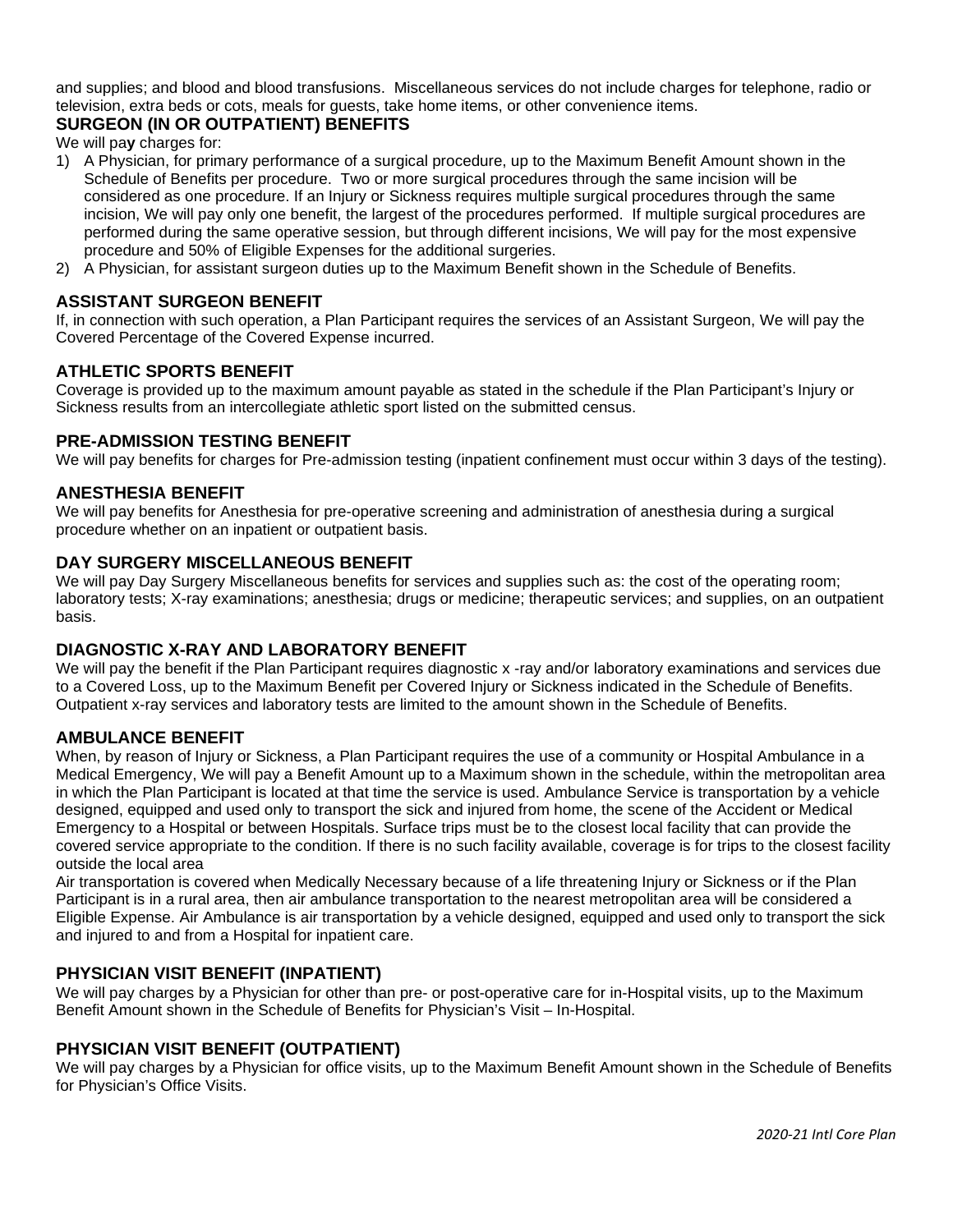and supplies; and blood and blood transfusions. Miscellaneous services do not include charges for telephone, radio or television, extra beds or cots, meals for guests, take home items, or other convenience items.

#### **SURGEON (IN OR OUTPATIENT) BENEFITS**

We will pa**y** charges for:

- 1) A Physician, for primary performance of a surgical procedure, up to the Maximum Benefit Amount shown in the Schedule of Benefits per procedure. Two or more surgical procedures through the same incision will be considered as one procedure. If an Injury or Sickness requires multiple surgical procedures through the same incision, We will pay only one benefit, the largest of the procedures performed. If multiple surgical procedures are performed during the same operative session, but through different incisions, We will pay for the most expensive procedure and 50% of Eligible Expenses for the additional surgeries.
- 2) A Physician, for assistant surgeon duties up to the Maximum Benefit shown in the Schedule of Benefits.

#### **ASSISTANT SURGEON BENEFIT**

If, in connection with such operation, a Plan Participant requires the services of an Assistant Surgeon, We will pay the Covered Percentage of the Covered Expense incurred.

#### **ATHLETIC SPORTS BENEFIT**

Coverage is provided up to the maximum amount payable as stated in the schedule if the Plan Participant's Injury or Sickness results from an intercollegiate athletic sport listed on the submitted census.

#### **PRE-ADMISSION TESTING BENEFIT**

We will pay benefits for charges for Pre-admission testing (inpatient confinement must occur within 3 days of the testing).

#### **ANESTHESIA BENEFIT**

We will pay benefits for Anesthesia for pre-operative screening and administration of anesthesia during a surgical procedure whether on an inpatient or outpatient basis.

#### **DAY SURGERY MISCELLANEOUS BENEFIT**

We will pay Day Surgery Miscellaneous benefits for services and supplies such as: the cost of the operating room; laboratory tests; X-ray examinations; anesthesia; drugs or medicine; therapeutic services; and supplies, on an outpatient basis.

#### **DIAGNOSTIC X-RAY AND LABORATORY BENEFIT**

We will pay the benefit if the Plan Participant requires diagnostic x -ray and/or laboratory examinations and services due to a Covered Loss, up to the Maximum Benefit per Covered Injury or Sickness indicated in the Schedule of Benefits. Outpatient x-ray services and laboratory tests are limited to the amount shown in the Schedule of Benefits.

#### **AMBULANCE BENEFIT**

When, by reason of Injury or Sickness, a Plan Participant requires the use of a community or Hospital Ambulance in a Medical Emergency, We will pay a Benefit Amount up to a Maximum shown in the schedule, within the metropolitan area in which the Plan Participant is located at that time the service is used. Ambulance Service is transportation by a vehicle designed, equipped and used only to transport the sick and injured from home, the scene of the Accident or Medical Emergency to a Hospital or between Hospitals. Surface trips must be to the closest local facility that can provide the covered service appropriate to the condition. If there is no such facility available, coverage is for trips to the closest facility outside the local area

Air transportation is covered when Medically Necessary because of a life threatening Injury or Sickness or if the Plan Participant is in a rural area, then air ambulance transportation to the nearest metropolitan area will be considered a Eligible Expense. Air Ambulance is air transportation by a vehicle designed, equipped and used only to transport the sick and injured to and from a Hospital for inpatient care.

#### **PHYSICIAN VISIT BENEFIT (INPATIENT)**

We will pay charges by a Physician for other than pre- or post-operative care for in-Hospital visits, up to the Maximum Benefit Amount shown in the Schedule of Benefits for Physician's Visit – In-Hospital.

#### **PHYSICIAN VISIT BENEFIT (OUTPATIENT)**

We will pay charges by a Physician for office visits, up to the Maximum Benefit Amount shown in the Schedule of Benefits for Physician's Office Visits.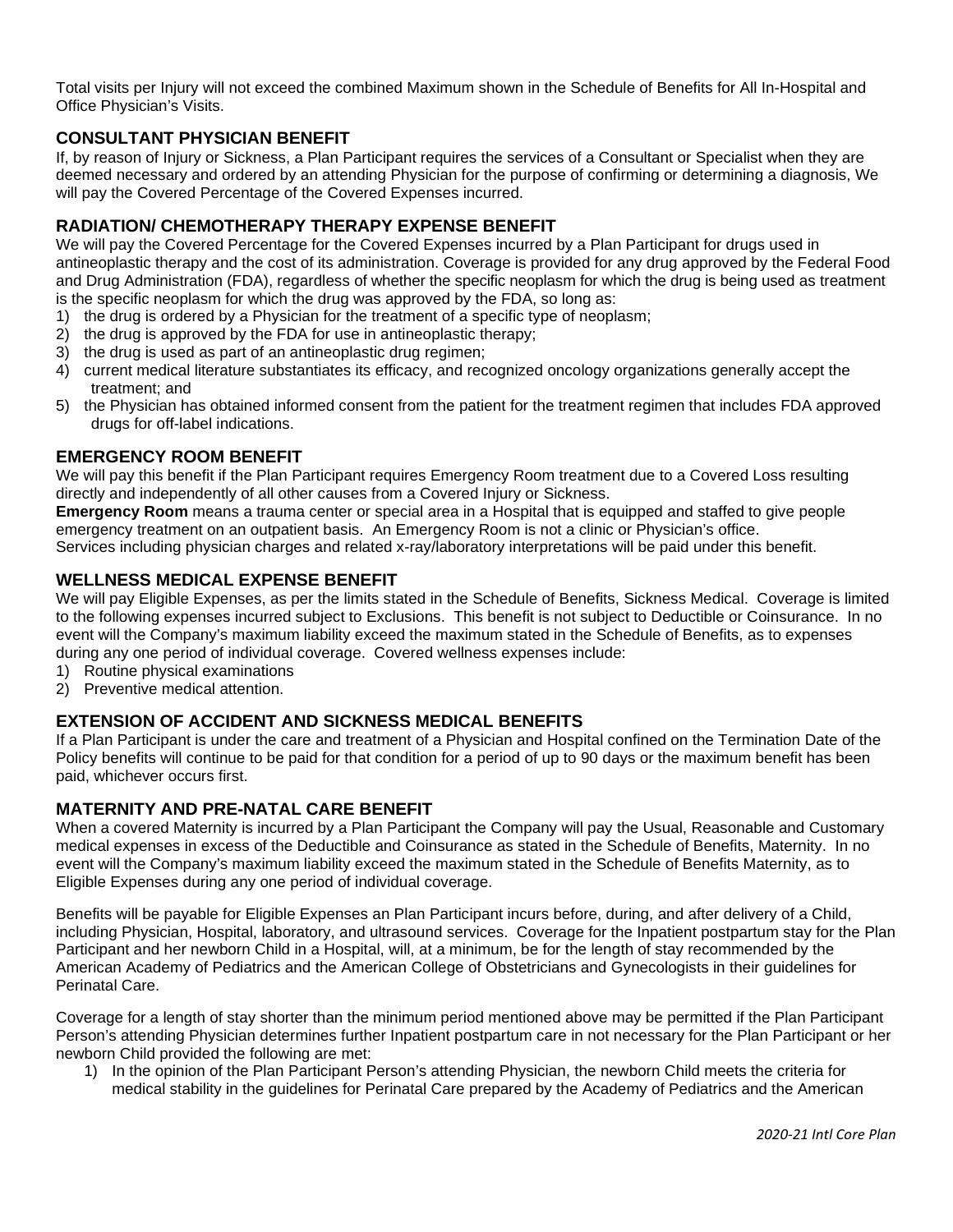Total visits per Injury will not exceed the combined Maximum shown in the Schedule of Benefits for All In-Hospital and Office Physician's Visits.

#### **CONSULTANT PHYSICIAN BENEFIT**

If, by reason of Injury or Sickness, a Plan Participant requires the services of a Consultant or Specialist when they are deemed necessary and ordered by an attending Physician for the purpose of confirming or determining a diagnosis, We will pay the Covered Percentage of the Covered Expenses incurred.

#### **RADIATION/ CHEMOTHERAPY THERAPY EXPENSE BENEFIT**

We will pay the Covered Percentage for the Covered Expenses incurred by a Plan Participant for drugs used in antineoplastic therapy and the cost of its administration. Coverage is provided for any drug approved by the Federal Food and Drug Administration (FDA), regardless of whether the specific neoplasm for which the drug is being used as treatment is the specific neoplasm for which the drug was approved by the FDA, so long as:

- 1) the drug is ordered by a Physician for the treatment of a specific type of neoplasm;
- 2) the drug is approved by the FDA for use in antineoplastic therapy;
- 3) the drug is used as part of an antineoplastic drug regimen;
- 4) current medical literature substantiates its efficacy, and recognized oncology organizations generally accept the treatment; and
- 5) the Physician has obtained informed consent from the patient for the treatment regimen that includes FDA approved drugs for off-label indications.

#### **EMERGENCY ROOM BENEFIT**

We will pay this benefit if the Plan Participant requires Emergency Room treatment due to a Covered Loss resulting directly and independently of all other causes from a Covered Injury or Sickness.

**Emergency Room** means a trauma center or special area in a Hospital that is equipped and staffed to give people emergency treatment on an outpatient basis. An Emergency Room is not a clinic or Physician's office. Services including physician charges and related x-ray/laboratory interpretations will be paid under this benefit.

#### **WELLNESS MEDICAL EXPENSE BENEFIT**

We will pay Eligible Expenses, as per the limits stated in the Schedule of Benefits, Sickness Medical. Coverage is limited to the following expenses incurred subject to Exclusions. This benefit is not subject to Deductible or Coinsurance. In no event will the Company's maximum liability exceed the maximum stated in the Schedule of Benefits, as to expenses during any one period of individual coverage. Covered wellness expenses include:

- 1) Routine physical examinations
- 2) Preventive medical attention.

#### **EXTENSION OF ACCIDENT AND SICKNESS MEDICAL BENEFITS**

If a Plan Participant is under the care and treatment of a Physician and Hospital confined on the Termination Date of the Policy benefits will continue to be paid for that condition for a period of up to 90 days or the maximum benefit has been paid, whichever occurs first.

#### **MATERNITY AND PRE-NATAL CARE BENEFIT**

When a covered Maternity is incurred by a Plan Participant the Company will pay the Usual, Reasonable and Customary medical expenses in excess of the Deductible and Coinsurance as stated in the Schedule of Benefits, Maternity. In no event will the Company's maximum liability exceed the maximum stated in the Schedule of Benefits Maternity, as to Eligible Expenses during any one period of individual coverage.

Benefits will be payable for Eligible Expenses an Plan Participant incurs before, during, and after delivery of a Child, including Physician, Hospital, laboratory, and ultrasound services. Coverage for the Inpatient postpartum stay for the Plan Participant and her newborn Child in a Hospital, will, at a minimum, be for the length of stay recommended by the American Academy of Pediatrics and the American College of Obstetricians and Gynecologists in their guidelines for Perinatal Care.

Coverage for a length of stay shorter than the minimum period mentioned above may be permitted if the Plan Participant Person's attending Physician determines further Inpatient postpartum care in not necessary for the Plan Participant or her newborn Child provided the following are met:

1) In the opinion of the Plan Participant Person's attending Physician, the newborn Child meets the criteria for medical stability in the guidelines for Perinatal Care prepared by the Academy of Pediatrics and the American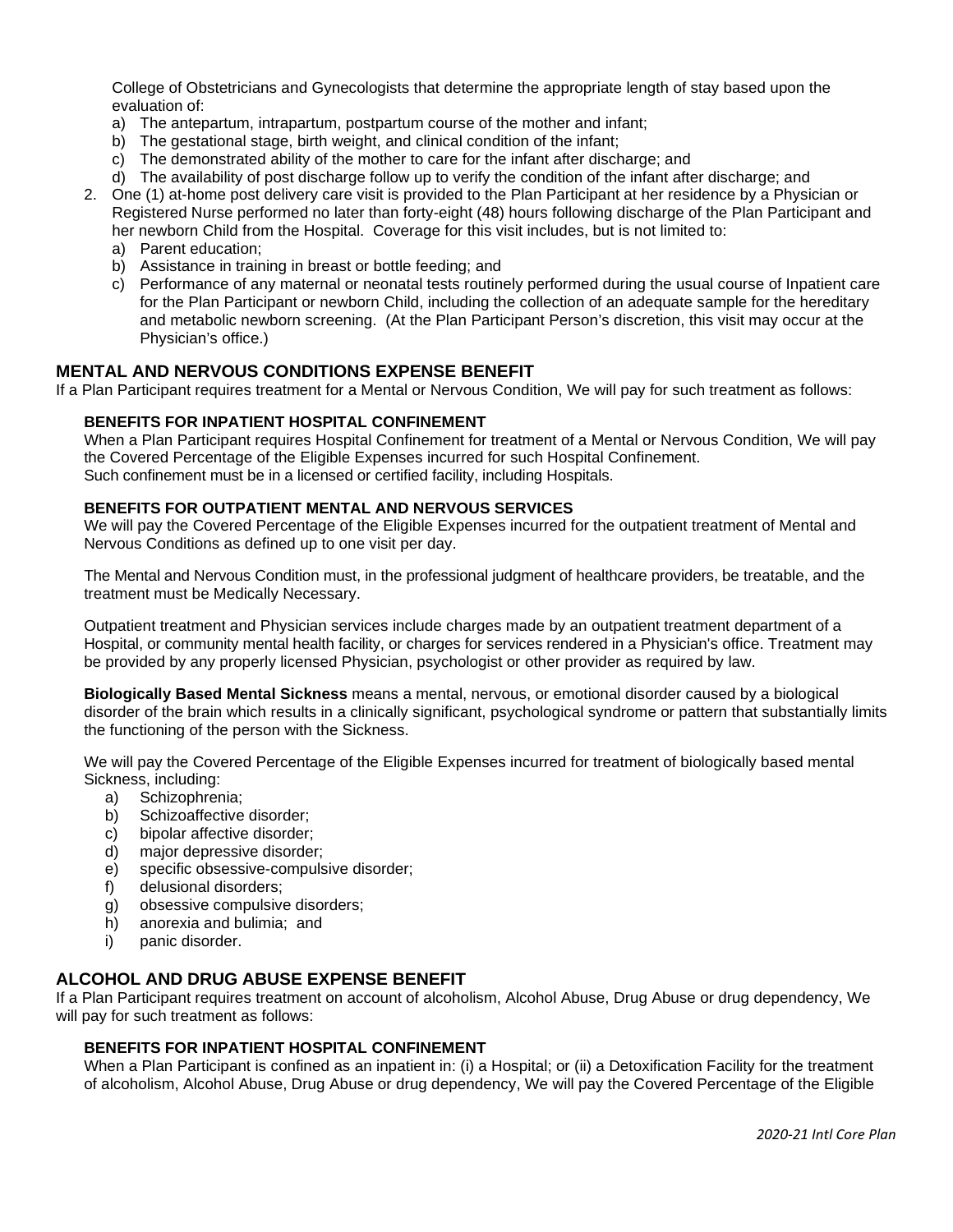College of Obstetricians and Gynecologists that determine the appropriate length of stay based upon the evaluation of:

- a) The antepartum, intrapartum, postpartum course of the mother and infant;
- b) The gestational stage, birth weight, and clinical condition of the infant;
- c) The demonstrated ability of the mother to care for the infant after discharge; and
- d) The availability of post discharge follow up to verify the condition of the infant after discharge; and
- 2. One (1) at-home post delivery care visit is provided to the Plan Participant at her residence by a Physician or Registered Nurse performed no later than forty-eight (48) hours following discharge of the Plan Participant and
	- her newborn Child from the Hospital. Coverage for this visit includes, but is not limited to:
	- a) Parent education;
	- b) Assistance in training in breast or bottle feeding; and
	- c) Performance of any maternal or neonatal tests routinely performed during the usual course of Inpatient care for the Plan Participant or newborn Child, including the collection of an adequate sample for the hereditary and metabolic newborn screening. (At the Plan Participant Person's discretion, this visit may occur at the Physician's office.)

#### **MENTAL AND NERVOUS CONDITIONS EXPENSE BENEFIT**

If a Plan Participant requires treatment for a Mental or Nervous Condition, We will pay for such treatment as follows:

#### **BENEFITS FOR INPATIENT HOSPITAL CONFINEMENT**

When a Plan Participant requires Hospital Confinement for treatment of a Mental or Nervous Condition, We will pay the Covered Percentage of the Eligible Expenses incurred for such Hospital Confinement. Such confinement must be in a licensed or certified facility, including Hospitals.

#### **BENEFITS FOR OUTPATIENT MENTAL AND NERVOUS SERVICES**

We will pay the Covered Percentage of the Eligible Expenses incurred for the outpatient treatment of Mental and Nervous Conditions as defined up to one visit per day.

The Mental and Nervous Condition must, in the professional judgment of healthcare providers, be treatable, and the treatment must be Medically Necessary.

Outpatient treatment and Physician services include charges made by an outpatient treatment department of a Hospital, or community mental health facility, or charges for services rendered in a Physician's office. Treatment may be provided by any properly licensed Physician, psychologist or other provider as required by law.

**Biologically Based Mental Sickness** means a mental, nervous, or emotional disorder caused by a biological disorder of the brain which results in a clinically significant, psychological syndrome or pattern that substantially limits the functioning of the person with the Sickness.

We will pay the Covered Percentage of the Eligible Expenses incurred for treatment of biologically based mental Sickness, including:

- a) Schizophrenia;
- b) Schizoaffective disorder;
- c) bipolar affective disorder;
- d) major depressive disorder;
- e) specific obsessive-compulsive disorder;
- f) delusional disorders;
- g) obsessive compulsive disorders;
- h) anorexia and bulimia; and
- i) panic disorder.

#### **ALCOHOL AND DRUG ABUSE EXPENSE BENEFIT**

If a Plan Participant requires treatment on account of alcoholism, Alcohol Abuse, Drug Abuse or drug dependency, We will pay for such treatment as follows:

#### **BENEFITS FOR INPATIENT HOSPITAL CONFINEMENT**

When a Plan Participant is confined as an inpatient in: (i) a Hospital; or (ii) a Detoxification Facility for the treatment of alcoholism, Alcohol Abuse, Drug Abuse or drug dependency, We will pay the Covered Percentage of the Eligible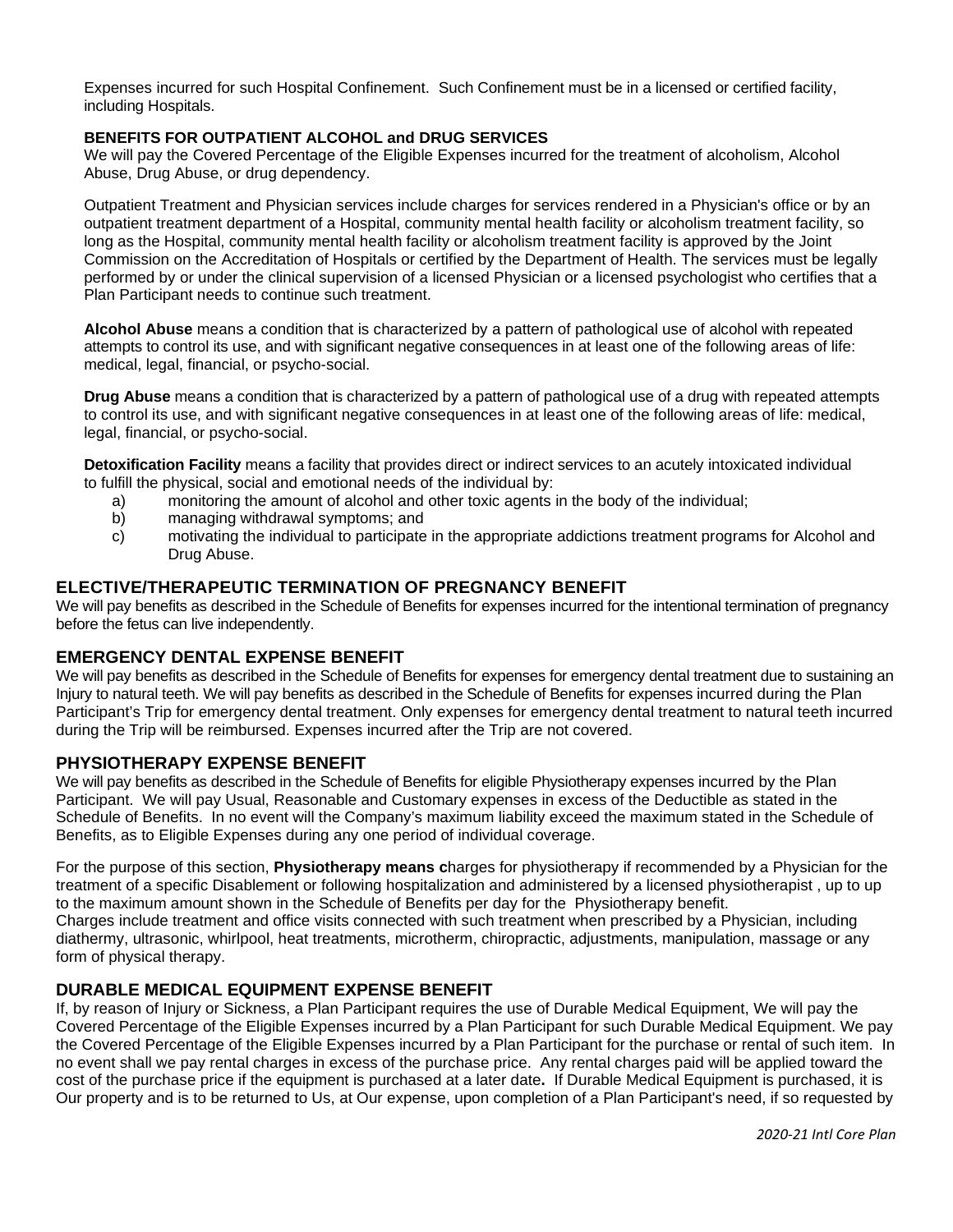Expenses incurred for such Hospital Confinement. Such Confinement must be in a licensed or certified facility, including Hospitals.

#### **BENEFITS FOR OUTPATIENT ALCOHOL and DRUG SERVICES**

We will pay the Covered Percentage of the Eligible Expenses incurred for the treatment of alcoholism, Alcohol Abuse, Drug Abuse, or drug dependency.

Outpatient Treatment and Physician services include charges for services rendered in a Physician's office or by an outpatient treatment department of a Hospital, community mental health facility or alcoholism treatment facility, so long as the Hospital, community mental health facility or alcoholism treatment facility is approved by the Joint Commission on the Accreditation of Hospitals or certified by the Department of Health. The services must be legally performed by or under the clinical supervision of a licensed Physician or a licensed psychologist who certifies that a Plan Participant needs to continue such treatment.

**Alcohol Abuse** means a condition that is characterized by a pattern of pathological use of alcohol with repeated attempts to control its use, and with significant negative consequences in at least one of the following areas of life: medical, legal, financial, or psycho-social.

**Drug Abuse** means a condition that is characterized by a pattern of pathological use of a drug with repeated attempts to control its use, and with significant negative consequences in at least one of the following areas of life: medical, legal, financial, or psycho-social.

**Detoxification Facility** means a facility that provides direct or indirect services to an acutely intoxicated individual to fulfill the physical, social and emotional needs of the individual by:

- a) monitoring the amount of alcohol and other toxic agents in the body of the individual;
- b) managing withdrawal symptoms; and
- c) motivating the individual to participate in the appropriate addictions treatment programs for Alcohol and Drug Abuse.

#### **ELECTIVE/THERAPEUTIC TERMINATION OF PREGNANCY BENEFIT**

We will pay benefits as described in the Schedule of Benefits for expenses incurred for the intentional termination of pregnancy before the fetus can live independently.

#### **EMERGENCY DENTAL EXPENSE BENEFIT**

We will pay benefits as described in the Schedule of Benefits for expenses for emergency dental treatment due to sustaining an Injury to natural teeth. We will pay benefits as described in the Schedule of Benefits for expenses incurred during the Plan Participant's Trip for emergency dental treatment. Only expenses for emergency dental treatment to natural teeth incurred during the Trip will be reimbursed. Expenses incurred after the Trip are not covered.

#### **PHYSIOTHERAPY EXPENSE BENEFIT**

We will pay benefits as described in the Schedule of Benefits for eligible Physiotherapy expenses incurred by the Plan Participant. We will pay Usual, Reasonable and Customary expenses in excess of the Deductible as stated in the Schedule of Benefits. In no event will the Company's maximum liability exceed the maximum stated in the Schedule of Benefits, as to Eligible Expenses during any one period of individual coverage.

For the purpose of this section, **Physiotherapy means c**harges for physiotherapy if recommended by a Physician for the treatment of a specific Disablement or following hospitalization and administered by a licensed physiotherapist , up to up to the maximum amount shown in the Schedule of Benefits per day for the Physiotherapy benefit. Charges include treatment and office visits connected with such treatment when prescribed by a Physician, including diathermy, ultrasonic, whirlpool, heat treatments, microtherm, chiropractic, adjustments, manipulation, massage or any form of physical therapy.

#### **DURABLE MEDICAL EQUIPMENT EXPENSE BENEFIT**

If, by reason of Injury or Sickness, a Plan Participant requires the use of Durable Medical Equipment, We will pay the Covered Percentage of the Eligible Expenses incurred by a Plan Participant for such Durable Medical Equipment. We pay the Covered Percentage of the Eligible Expenses incurred by a Plan Participant for the purchase or rental of such item. In no event shall we pay rental charges in excess of the purchase price. Any rental charges paid will be applied toward the cost of the purchase price if the equipment is purchased at a later date**.** If Durable Medical Equipment is purchased, it is Our property and is to be returned to Us, at Our expense, upon completion of a Plan Participant's need, if so requested by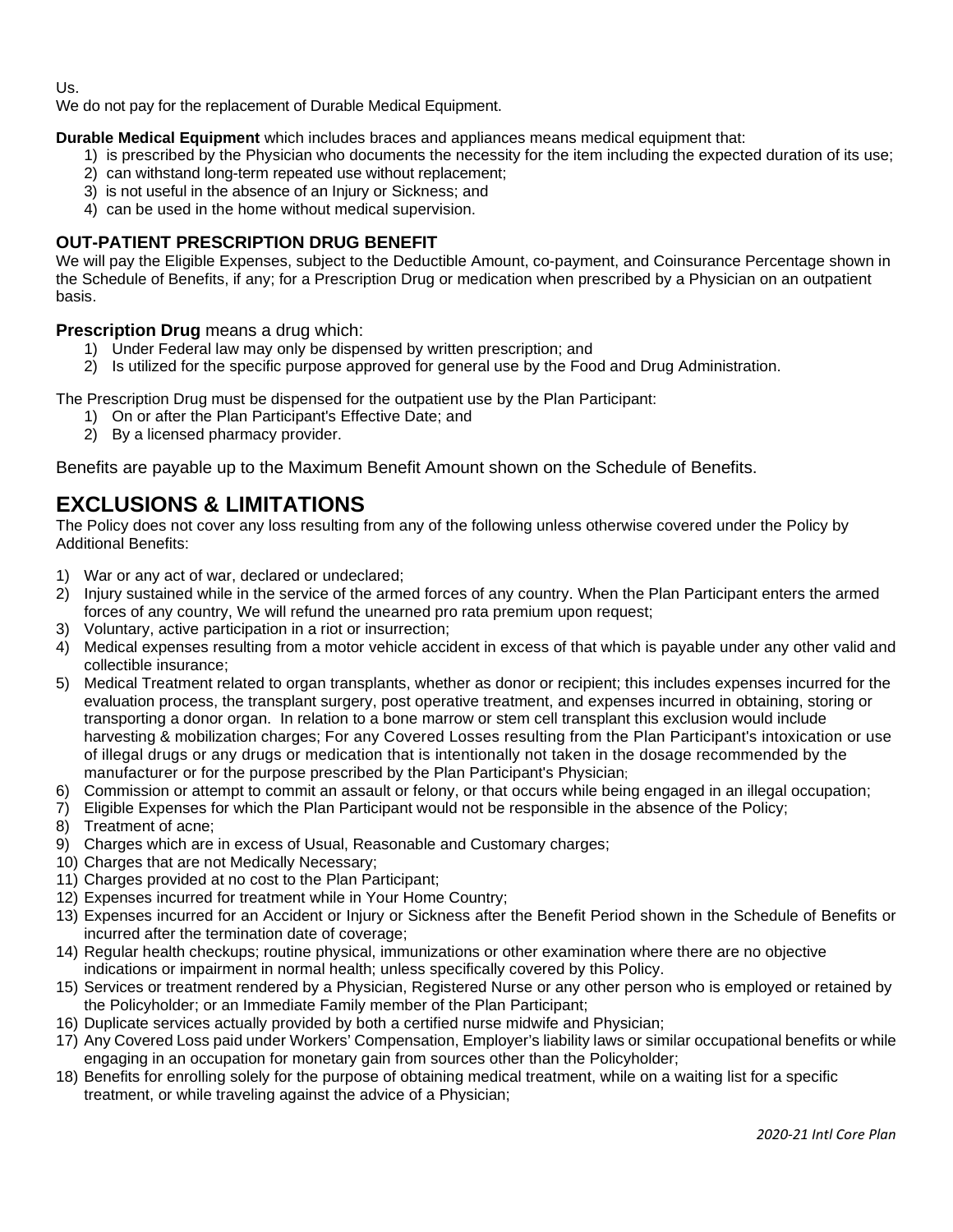Us.

We do not pay for the replacement of Durable Medical Equipment.

**Durable Medical Equipment** which includes braces and appliances means medical equipment that:

- 1) is prescribed by the Physician who documents the necessity for the item including the expected duration of its use;
- 2) can withstand long-term repeated use without replacement;
- 3) is not useful in the absence of an Injury or Sickness; and
- 4) can be used in the home without medical supervision.

#### **OUT-PATIENT PRESCRIPTION DRUG BENEFIT**

We will pay the Eligible Expenses, subject to the Deductible Amount, co-payment, and Coinsurance Percentage shown in the Schedule of Benefits, if any; for a Prescription Drug or medication when prescribed by a Physician on an outpatient basis.

#### **Prescription Drug** means a drug which:

- 1) Under Federal law may only be dispensed by written prescription; and
- 2) Is utilized for the specific purpose approved for general use by the Food and Drug Administration.

The Prescription Drug must be dispensed for the outpatient use by the Plan Participant:

- 1) On or after the Plan Participant's Effective Date; and
- 2) By a licensed pharmacy provider.

Benefits are payable up to the Maximum Benefit Amount shown on the Schedule of Benefits.

# **EXCLUSIONS & LIMITATIONS**

The Policy does not cover any loss resulting from any of the following unless otherwise covered under the Policy by Additional Benefits:

- 1) War or any act of war, declared or undeclared;
- 2) Injury sustained while in the service of the armed forces of any country. When the Plan Participant enters the armed forces of any country, We will refund the unearned pro rata premium upon request;
- 3) Voluntary, active participation in a riot or insurrection;
- 4) Medical expenses resulting from a motor vehicle accident in excess of that which is payable under any other valid and collectible insurance;
- 5) Medical Treatment related to organ transplants, whether as donor or recipient; this includes expenses incurred for the evaluation process, the transplant surgery, post operative treatment, and expenses incurred in obtaining, storing or transporting a donor organ. In relation to a bone marrow or stem cell transplant this exclusion would include harvesting & mobilization charges; For any Covered Losses resulting from the Plan Participant's intoxication or use of illegal drugs or any drugs or medication that is intentionally not taken in the dosage recommended by the manufacturer or for the purpose prescribed by the Plan Participant's Physician;
- 6) Commission or attempt to commit an assault or felony, or that occurs while being engaged in an illegal occupation;
- 7) Eligible Expenses for which the Plan Participant would not be responsible in the absence of the Policy;
- 8) Treatment of acne;
- 9) Charges which are in excess of Usual, Reasonable and Customary charges;
- 10) Charges that are not Medically Necessary;
- 11) Charges provided at no cost to the Plan Participant;
- 12) Expenses incurred for treatment while in Your Home Country;
- 13) Expenses incurred for an Accident or Injury or Sickness after the Benefit Period shown in the Schedule of Benefits or incurred after the termination date of coverage;
- 14) Regular health checkups; routine physical, immunizations or other examination where there are no objective indications or impairment in normal health; unless specifically covered by this Policy.
- 15) Services or treatment rendered by a Physician, Registered Nurse or any other person who is employed or retained by the Policyholder; or an Immediate Family member of the Plan Participant;
- 16) Duplicate services actually provided by both a certified nurse midwife and Physician;
- 17) Any Covered Loss paid under Workers' Compensation, Employer's liability laws or similar occupational benefits or while engaging in an occupation for monetary gain from sources other than the Policyholder;
- 18) Benefits for enrolling solely for the purpose of obtaining medical treatment, while on a waiting list for a specific treatment, or while traveling against the advice of a Physician;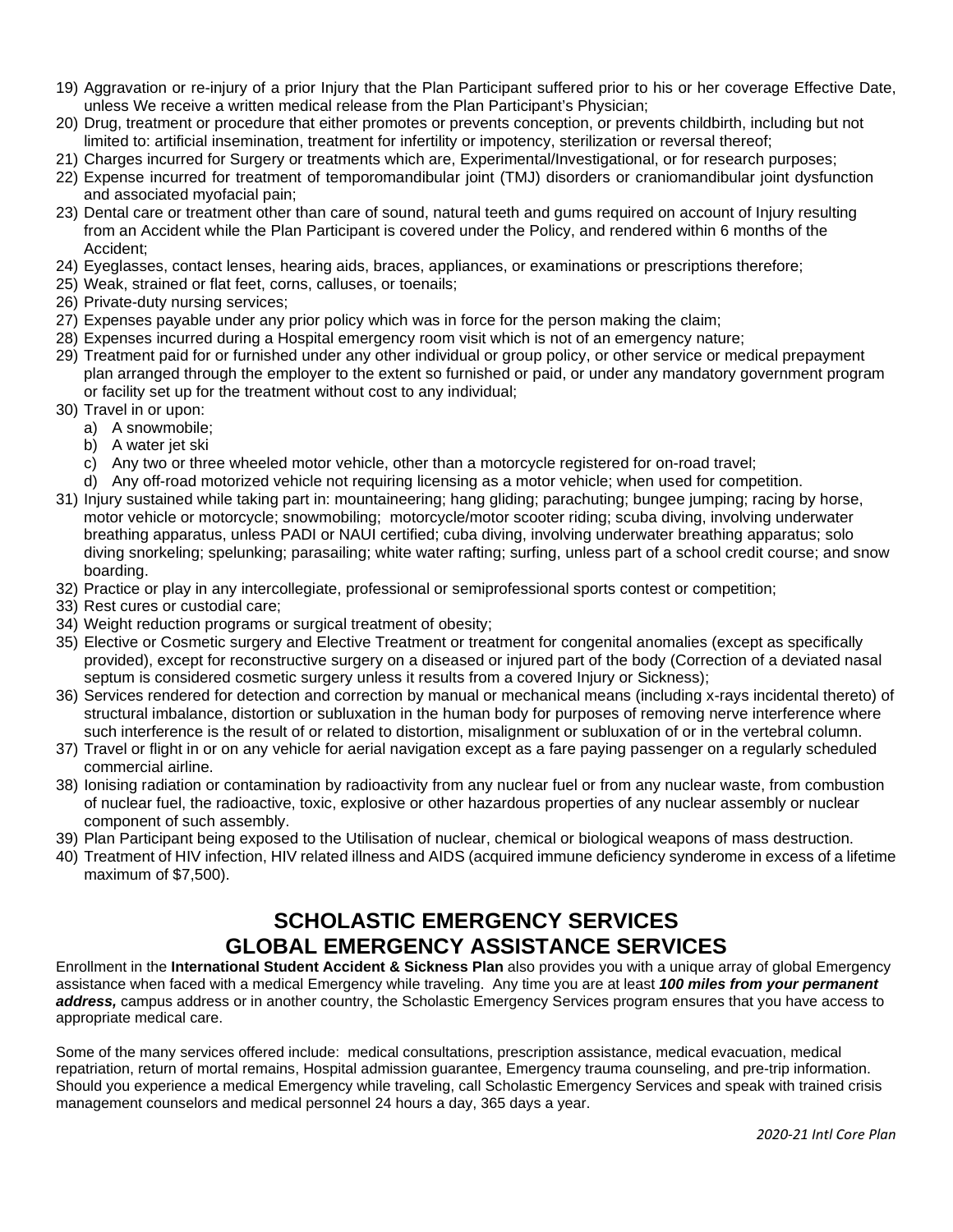- 19) Aggravation or re-injury of a prior Injury that the Plan Participant suffered prior to his or her coverage Effective Date, unless We receive a written medical release from the Plan Participant's Physician;
- 20) Drug, treatment or procedure that either promotes or prevents conception, or prevents childbirth, including but not limited to: artificial insemination, treatment for infertility or impotency, sterilization or reversal thereof;
- 21) Charges incurred for Surgery or treatments which are, Experimental/Investigational, or for research purposes;
- 22) Expense incurred for treatment of temporomandibular joint (TMJ) disorders or craniomandibular joint dysfunction and associated myofacial pain;
- 23) Dental care or treatment other than care of sound, natural teeth and gums required on account of Injury resulting from an Accident while the Plan Participant is covered under the Policy, and rendered within 6 months of the Accident;
- 24) Eyeglasses, contact lenses, hearing aids, braces, appliances, or examinations or prescriptions therefore;
- 25) Weak, strained or flat feet, corns, calluses, or toenails;
- 26) Private-duty nursing services;
- 27) Expenses payable under any prior policy which was in force for the person making the claim;
- 28) Expenses incurred during a Hospital emergency room visit which is not of an emergency nature;
- 29) Treatment paid for or furnished under any other individual or group policy, or other service or medical prepayment plan arranged through the employer to the extent so furnished or paid, or under any mandatory government program or facility set up for the treatment without cost to any individual;
- 30) Travel in or upon:
	- a) A snowmobile;
	- b) A water jet ski
	- c) Any two or three wheeled motor vehicle, other than a motorcycle registered for on-road travel;
	- d) Any off-road motorized vehicle not requiring licensing as a motor vehicle; when used for competition.
- 31) Injury sustained while taking part in: mountaineering; hang gliding; parachuting; bungee jumping; racing by horse, motor vehicle or motorcycle; snowmobiling; motorcycle/motor scooter riding; scuba diving, involving underwater breathing apparatus, unless PADI or NAUI certified; cuba diving, involving underwater breathing apparatus; solo diving snorkeling; spelunking; parasailing; white water rafting; surfing, unless part of a school credit course; and snow boarding.
- 32) Practice or play in any intercollegiate, professional or semiprofessional sports contest or competition;
- 33) Rest cures or custodial care;
- 34) Weight reduction programs or surgical treatment of obesity;
- 35) Elective or Cosmetic surgery and Elective Treatment or treatment for congenital anomalies (except as specifically provided), except for reconstructive surgery on a diseased or injured part of the body (Correction of a deviated nasal septum is considered cosmetic surgery unless it results from a covered Injury or Sickness);
- 36) Services rendered for detection and correction by manual or mechanical means (including x-rays incidental thereto) of structural imbalance, distortion or subluxation in the human body for purposes of removing nerve interference where such interference is the result of or related to distortion, misalignment or subluxation of or in the vertebral column.
- 37) Travel or flight in or on any vehicle for aerial navigation except as a fare paying passenger on a regularly scheduled commercial airline.
- 38) Ionising radiation or contamination by radioactivity from any nuclear fuel or from any nuclear waste, from combustion of nuclear fuel, the radioactive, toxic, explosive or other hazardous properties of any nuclear assembly or nuclear component of such assembly.
- 39) Plan Participant being exposed to the Utilisation of nuclear, chemical or biological weapons of mass destruction.
- 40) Treatment of HIV infection, HIV related illness and AIDS (acquired immune deficiency synderome in excess of a lifetime maximum of \$7,500).

### **SCHOLASTIC EMERGENCY SERVICES GLOBAL EMERGENCY ASSISTANCE SERVICES**

Enrollment in the **International Student Accident & Sickness Plan** also provides you with a unique array of global Emergency assistance when faced with a medical Emergency while traveling. Any time you are at least *100 miles from your permanent address,* campus address or in another country, the Scholastic Emergency Services program ensures that you have access to appropriate medical care.

Some of the many services offered include: medical consultations, prescription assistance, medical evacuation, medical repatriation, return of mortal remains, Hospital admission guarantee, Emergency trauma counseling, and pre-trip information. Should you experience a medical Emergency while traveling, call Scholastic Emergency Services and speak with trained crisis management counselors and medical personnel 24 hours a day, 365 days a year.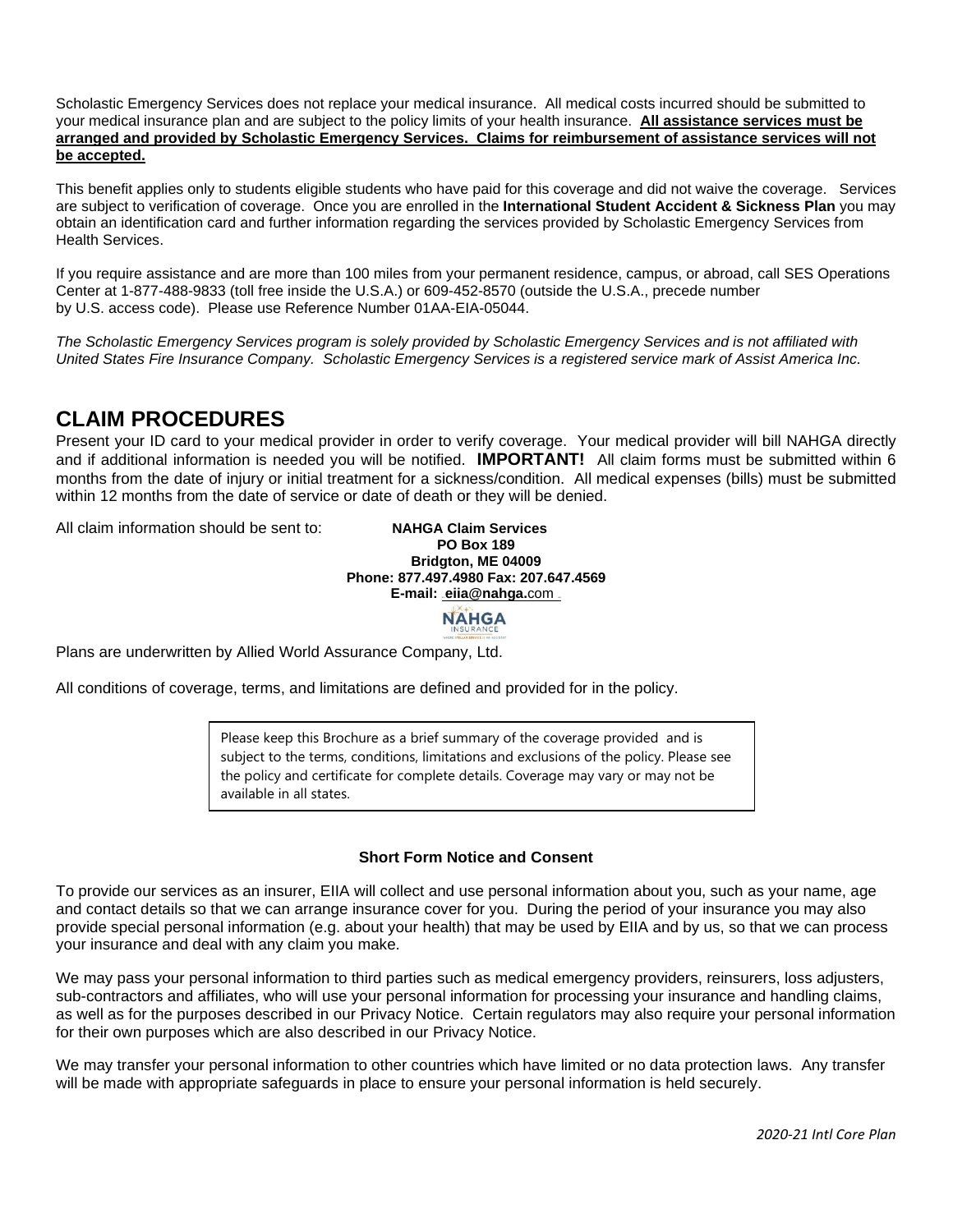Scholastic Emergency Services does not replace your medical insurance. All medical costs incurred should be submitted to your medical insurance plan and are subject to the policy limits of your health insurance. **All assistance services must be arranged and provided by Scholastic Emergency Services. Claims for reimbursement of assistance services will not be accepted.**

This benefit applies only to students eligible students who have paid for this coverage and did not waive the coverage. Services are subject to verification of coverage. Once you are enrolled in the **International Student Accident & Sickness Plan** you may obtain an identification card and further information regarding the services provided by Scholastic Emergency Services from Health Services.

If you require assistance and are more than 100 miles from your permanent residence, campus, or abroad, call SES Operations Center at 1-877-488-9833 (toll free inside the U.S.A.) or 609-452-8570 (outside the U.S.A., precede number by U.S. access code). Please use Reference Number 01AA-EIA-05044.

*The Scholastic Emergency Services program is solely provided by Scholastic Emergency Services and is not affiliated with United States Fire Insurance Company. Scholastic Emergency Services is a registered service mark of Assist America Inc.*

### **CLAIM PROCEDURES**

Present your ID card to your medical provider in order to verify coverage. Your medical provider will bill NAHGA directly and if additional information is needed you will be notified. **IMPORTANT!** All claim forms must be submitted within 6 months from the date of injury or initial treatment for a sickness/condition. All medical expenses (bills) must be submitted within 12 months from the date of service or date of death or they will be denied.

All claim information should be sent to: **NAHGA Claim Services** 

**PO Box 189 Bridgton, ME 04009 Phone: 877.497.4980 Fax: 207.647.4569 E-mail: [eiia@nahga.](mailto:31TUeiia@nahga.com%20U31T)com \_** 

**NAHGA** 

Plans are underwritten by Allied World Assurance Company, Ltd.

All conditions of coverage, terms, and limitations are defined and provided for in the policy.

Please keep this Brochure as a brief summary of the coverage provided and is subject to the terms, conditions, limitations and exclusions of the policy. Please see the policy and certificate for complete details. Coverage may vary or may not be available in all states.

#### **Short Form Notice and Consent**

To provide our services as an insurer, EIIA will collect and use personal information about you, such as your name, age and contact details so that we can arrange insurance cover for you. During the period of your insurance you may also provide special personal information (e.g. about your health) that may be used by EIIA and by us, so that we can process your insurance and deal with any claim you make.

We may pass your personal information to third parties such as medical emergency providers, reinsurers, loss adjusters, sub-contractors and affiliates, who will use your personal information for processing your insurance and handling claims, as well as for the purposes described in our Privacy Notice. Certain regulators may also require your personal information for their own purposes which are also described in our Privacy Notice.

We may transfer your personal information to other countries which have limited or no data protection laws. Any transfer will be made with appropriate safeguards in place to ensure your personal information is held securely.

 *2020-21 Intl Core Plan*